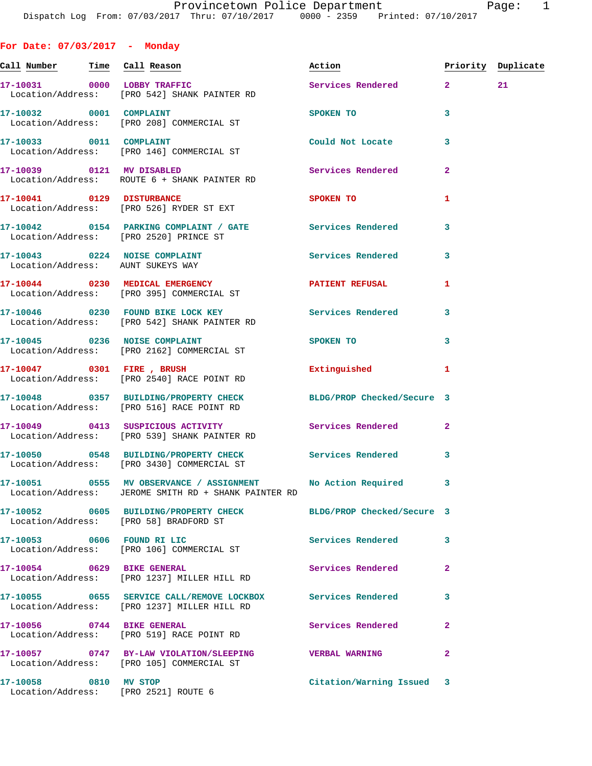| For Date: $07/03/2017$ - Monday                               |                                                                                                                     |                           |              |                    |
|---------------------------------------------------------------|---------------------------------------------------------------------------------------------------------------------|---------------------------|--------------|--------------------|
|                                                               | <u>Call Number — Time Call Reason</u>                                                                               | Action                    |              | Priority Duplicate |
|                                                               | 17-10031 0000 LOBBY TRAFFIC<br>Location/Address: [PRO 542] SHANK PAINTER RD                                         | Services Rendered 2 21    |              |                    |
|                                                               | 17-10032 0001 COMPLAINT<br>Location/Address: [PRO 208] COMMERCIAL ST                                                | <b>SPOKEN TO</b>          | 3            |                    |
| 17-10033 0011 COMPLAINT                                       | Location/Address: [PRO 146] COMMERCIAL ST                                                                           | Could Not Locate          | 3            |                    |
|                                                               | 17-10039 0121 MV DISABLED<br>Location/Address: ROUTE 6 + SHANK PAINTER RD                                           | <b>Services Rendered</b>  | $\mathbf{2}$ |                    |
|                                                               | 17-10041 0129 DISTURBANCE<br>Location/Address: [PRO 526] RYDER ST EXT                                               | SPOKEN TO                 | 1            |                    |
|                                                               | 17-10042 0154 PARKING COMPLAINT / GATE Services Rendered<br>Location/Address: [PRO 2520] PRINCE ST                  |                           | 3            |                    |
| Location/Address: AUNT SUKEYS WAY                             | 17-10043 0224 NOISE COMPLAINT                                                                                       | Services Rendered 3       |              |                    |
|                                                               | 17-10044 0230 MEDICAL EMERGENCY <b>ATIENT REFUSAL</b><br>Location/Address: [PRO 395] COMMERCIAL ST                  |                           | 1            |                    |
|                                                               | 17-10046 0230 FOUND BIKE LOCK KEY Services Rendered 3<br>Location/Address: [PRO 542] SHANK PAINTER RD               |                           |              |                    |
|                                                               | 17-10045 0236 NOISE COMPLAINT<br>Location/Address: [PRO 2162] COMMERCIAL ST                                         | SPOKEN TO                 | 3            |                    |
|                                                               | 17-10047 0301 FIRE, BRUSH<br>Location/Address: [PRO 2540] RACE POINT RD                                             | Extinguished              | 1            |                    |
|                                                               | 17-10048 0357 BUILDING/PROPERTY CHECK BLDG/PROP Checked/Secure 3<br>Location/Address: [PRO 516] RACE POINT RD       |                           |              |                    |
|                                                               | 17-10049 0413 SUSPICIOUS ACTIVITY<br>Location/Address: [PRO 539] SHANK PAINTER RD                                   | Services Rendered         | $\mathbf{2}$ |                    |
|                                                               | 17-10050 0548 BUILDING/PROPERTY CHECK Services Rendered 3<br>Location/Address: [PRO 3430] COMMERCIAL ST             |                           |              |                    |
|                                                               | 17-10051 0555 MV OBSERVANCE / ASSIGNMENT No Action Required<br>Location/Address: JEROME SMITH RD + SHANK PAINTER RD |                           | 3            |                    |
| Location/Address: [PRO 58] BRADFORD ST                        | 17-10052 0605 BUILDING/PROPERTY CHECK BLDG/PROP Checked/Secure 3                                                    |                           |              |                    |
|                                                               | 17-10053 0606 FOUND RI LIC<br>Location/Address: [PRO 106] COMMERCIAL ST                                             | Services Rendered         | 3            |                    |
|                                                               | 17-10054 0629 BIKE GENERAL<br>Location/Address: [PRO 1237] MILLER HILL RD                                           | Services Rendered         | $\mathbf{2}$ |                    |
|                                                               | 17-10055 0655 SERVICE CALL/REMOVE LOCKBOX Services Rendered<br>Location/Address: [PRO 1237] MILLER HILL RD          |                           | 3            |                    |
|                                                               | 17-10056 0744 BIKE GENERAL<br>Location/Address: [PRO 519] RACE POINT RD                                             | Services Rendered         | $\mathbf{2}$ |                    |
|                                                               | 17-10057 0747 BY-LAW VIOLATION/SLEEPING VERBAL WARNING<br>Location/Address: [PRO 105] COMMERCIAL ST                 |                           | $\mathbf{2}$ |                    |
| 17-10058 0810 MV STOP<br>Location/Address: [PRO 2521] ROUTE 6 |                                                                                                                     | Citation/Warning Issued 3 |              |                    |
|                                                               |                                                                                                                     |                           |              |                    |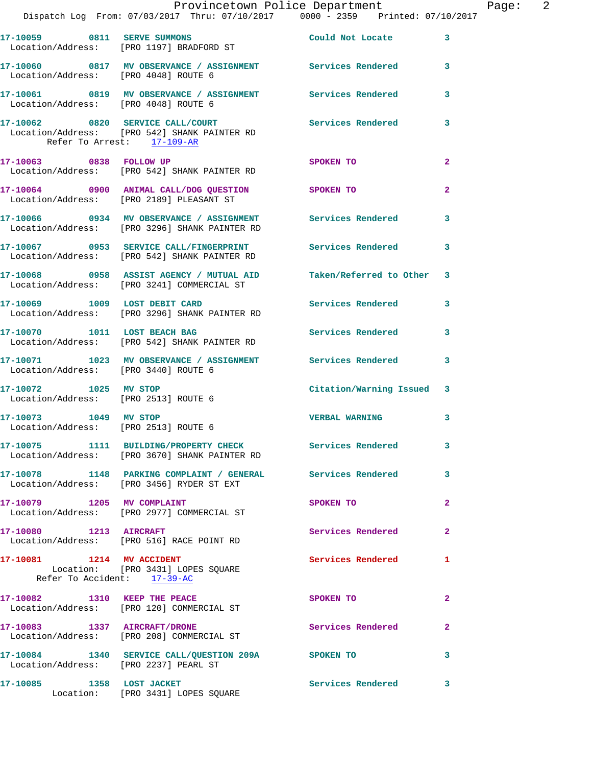|                                                               | Dispatch Log From: 07/03/2017 Thru: 07/10/2017 0000 - 2359 Printed: 07/10/2017                                   | Provincetown Police Department |                | Page: 2 |  |
|---------------------------------------------------------------|------------------------------------------------------------------------------------------------------------------|--------------------------------|----------------|---------|--|
|                                                               | 17-10059 0811 SERVE SUMMONS<br>Location/Address: [PRO 1197] BRADFORD ST                                          | Could Not Locate               | $\mathbf{3}$   |         |  |
| Location/Address: [PRO 4048] ROUTE 6                          | 17-10060 0817 MV OBSERVANCE / ASSIGNMENT Services Rendered 3                                                     |                                |                |         |  |
|                                                               | 17-10061 0819 MV OBSERVANCE / ASSIGNMENT Services Rendered 3<br>Location/Address: [PRO 4048] ROUTE 6             |                                |                |         |  |
| Refer To Arrest: 17-109-AR                                    | 17-10062 0820 SERVICE CALL/COURT Services Rendered<br>Location/Address: [PRO 542] SHANK PAINTER RD               |                                | 3              |         |  |
|                                                               | 17-10063 0838 FOLLOW UP<br>Location/Address: [PRO 542] SHANK PAINTER RD                                          | <b>SPOKEN TO</b>               | $\overline{a}$ |         |  |
|                                                               | 17-10064 0900 ANIMAL CALL/DOG QUESTION SPOKEN TO<br>Location/Address: [PRO 2189] PLEASANT ST                     |                                | $\overline{2}$ |         |  |
|                                                               | 17-10066 0934 MV OBSERVANCE / ASSIGNMENT Services Rendered 3<br>Location/Address: [PRO 3296] SHANK PAINTER RD    |                                |                |         |  |
|                                                               | 17-10067 0953 SERVICE CALL/FINGERPRINT Services Rendered<br>Location/Address: [PRO 542] SHANK PAINTER RD         |                                | 3              |         |  |
|                                                               | 17-10068 0958 ASSIST AGENCY / MUTUAL AID Taken/Referred to Other 3<br>Location/Address: [PRO 3241] COMMERCIAL ST |                                |                |         |  |
|                                                               | 17-10069 1009 LOST DEBIT CARD<br>Location/Address: [PRO 3296] SHANK PAINTER RD                                   | Services Rendered 3            |                |         |  |
|                                                               | 17-10070 1011 LOST BEACH BAG Services Rendered<br>Location/Address: [PRO 542] SHANK PAINTER RD                   |                                | 3              |         |  |
|                                                               | 17-10071 1023 MV OBSERVANCE / ASSIGNMENT Services Rendered 3<br>Location/Address: [PRO 3440] ROUTE 6             |                                |                |         |  |
| 17-10072 1025 MV STOP                                         | Location/Address: [PRO 2513] ROUTE 6                                                                             | Citation/Warning Issued 3      |                |         |  |
| 17-10073 1049 MV STOP<br>Location/Address: [PRO 2513] ROUTE 6 |                                                                                                                  | <b>VERBAL WARNING</b>          | 3              |         |  |
|                                                               | 17-10075 1111 BUILDING/PROPERTY CHECK Services Rendered<br>Location/Address: [PRO 3670] SHANK PAINTER RD         |                                | 3              |         |  |
|                                                               | 17-10078 1148 PARKING COMPLAINT / GENERAL Services Rendered<br>Location/Address: [PRO 3456] RYDER ST EXT         |                                | 3              |         |  |
|                                                               | 17-10079 1205 MV COMPLAINT<br>Location/Address: [PRO 2977] COMMERCIAL ST                                         | SPOKEN TO                      | $\mathbf{2}$   |         |  |
|                                                               | 17-10080 1213 AIRCRAFT<br>Location/Address: [PRO 516] RACE POINT RD                                              | Services Rendered              | $\mathbf{2}$   |         |  |
| 17-10081 1214 MV ACCIDENT<br>Refer To Accident: 17-39-AC      | Location: [PRO 3431] LOPES SQUARE                                                                                | Services Rendered              | 1              |         |  |
|                                                               | 17-10082 1310 KEEP THE PEACE<br>Location/Address: [PRO 120] COMMERCIAL ST                                        | SPOKEN TO                      | $\mathbf{2}$   |         |  |
|                                                               | 17-10083 1337 AIRCRAFT/DRONE<br>Location/Address: [PRO 208] COMMERCIAL ST                                        | Services Rendered              | $\mathbf{2}$   |         |  |
| Location/Address: [PRO 2237] PEARL ST                         | 17-10084 1340 SERVICE CALL/QUESTION 209A SPOKEN TO                                                               |                                | 3              |         |  |
|                                                               | 17-10085 1358 LOST JACKET<br>Location: [PRO 3431] LOPES SQUARE                                                   | <b>Services Rendered</b>       | 3              |         |  |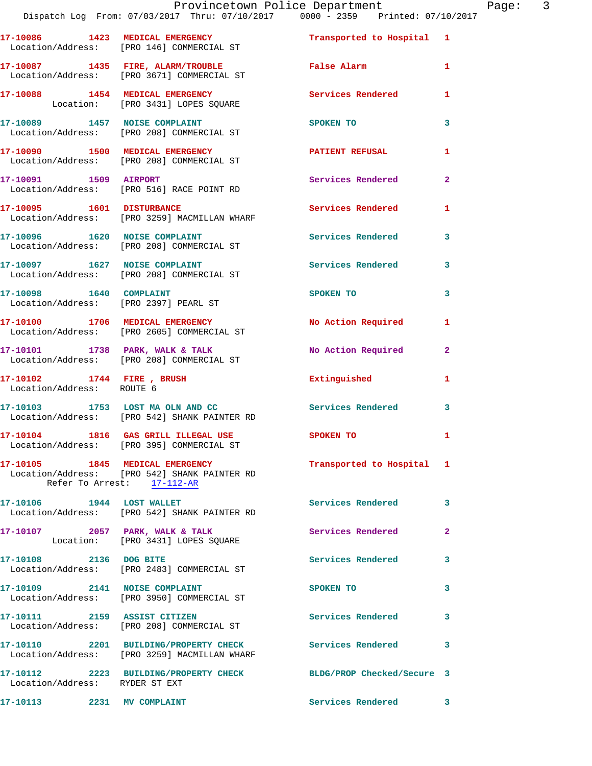**17-10089 1457 NOISE COMPLAINT SPOKEN TO** 3 Location/Address: [PRO 208] COMMERCIAL ST **17-10090 1500 MEDICAL EMERGENCY PATIENT REFUSAL 1** 

 Location/Address: [PRO 208] COMMERCIAL ST **17-10091 1509 AIRPORT Services Rendered 2**  Location/Address: [PRO 516] RACE POINT RD

**17-10095 1601 DISTURBANCE Services Rendered 1**  Location/Address: [PRO 3259] MACMILLAN WHARF

17-10096 1620 NOISE COMPLAINT **17-10096** Services Rendered 3 Location/Address: [PRO 208] COMMERCIAL ST 17-10097 1627 NOISE COMPLAINT Services Rendered 3

 Location/Address: [PRO 208] COMMERCIAL ST **17-10098** 1640 COMPLAINT SPOKEN TO 3 Location/Address: [PRO 2397] PEARL ST 17-10100 1706 MEDICAL EMERGENCY No Action Required 1 Location/Address: [PRO 2605] COMMERCIAL ST

**17-10101 1738 PARK, WALK & TALK No Action Required 2**  Location/Address: [PRO 208] COMMERCIAL ST

 Location/Address: ROUTE 6 **17-10103 1753 LOST MA OLN AND CC Services Rendered 3**  Location/Address: [PRO 542] SHANK PAINTER RD

**17-10104 1816 GAS GRILL ILLEGAL USE SPOKEN TO 1**  Location/Address: [PRO 395] COMMERCIAL ST

**17-10105 1845 MEDICAL EMERGENCY Transported to Hospital 1**  Location/Address: [PRO 542] SHANK PAINTER RD Refer To Arrest: 17-112-AR

Location/Address: [PRO 542] SHANK PAINTER RD

17-10107 2057 PARK, WALK & TALK **Network Services Rendered** 2 Location: [PRO 3431] LOPES SQUARE

17-10108 2136 DOG BITE Services Rendered 3 Location/Address: [PRO 2483] COMMERCIAL ST

**17-10109 2141 NOISE COMPLAINT SPOKEN TO 3**  Location/Address: [PRO 3950] COMMERCIAL ST

**17-10111 2159 ASSIST CITIZEN Services Rendered 3**  Location/Address: [PRO 208] COMMERCIAL ST

Location/Address: [PRO 3259] MACMILLAN WHARF

Location/Address: RYDER ST EXT

**17-10113 2231 MV COMPLAINT Services Rendered 3** 

**17-10102 1744 FIRE , BRUSH Extinguished 1** 

**17-10106 1944 LOST WALLET Services Rendered 3** 

**17-10110 2201 BUILDING/PROPERTY CHECK Services Rendered 3** 

**17-10112 2223 BUILDING/PROPERTY CHECK BLDG/PROP Checked/Secure 3**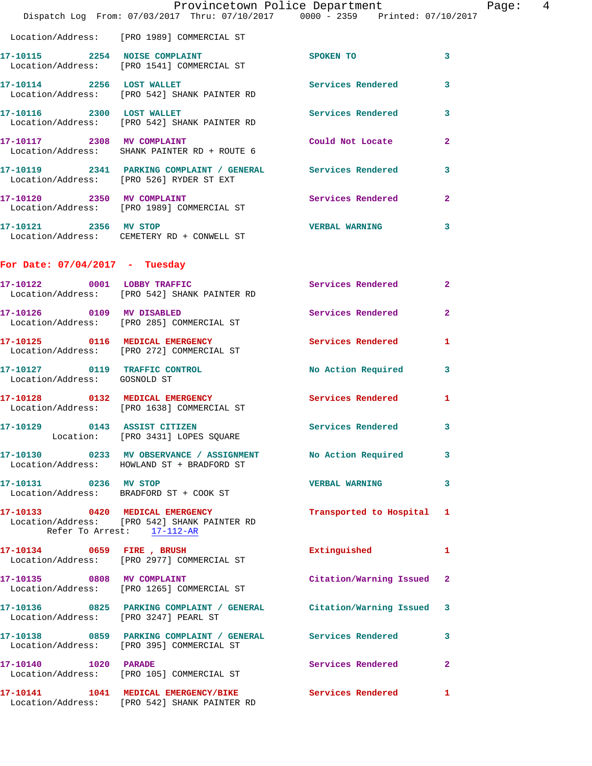|                                  |                                                                                                              | Provincetown Police Department | Page: 4                 |
|----------------------------------|--------------------------------------------------------------------------------------------------------------|--------------------------------|-------------------------|
|                                  | Dispatch Log From: 07/03/2017 Thru: 07/10/2017 0000 - 2359 Printed: 07/10/2017                               |                                |                         |
|                                  | Location/Address: [PRO 1989] COMMERCIAL ST                                                                   |                                |                         |
|                                  | 17-10115 2254 NOISE COMPLAINT<br>Location/Address: [PRO 1541] COMMERCIAL ST                                  | SPOKEN TO                      | $\overline{\mathbf{3}}$ |
|                                  | 17-10114 2256 LOST WALLET<br>Location/Address: [PRO 542] SHANK PAINTER RD                                    | <b>Services Rendered</b>       | 3                       |
| 17-10116 2300 LOST WALLET        | Location/Address: [PRO 542] SHANK PAINTER RD                                                                 | Services Rendered 3            |                         |
| 17-10117 2308 MV COMPLAINT       | Location/Address: SHANK PAINTER RD + ROUTE 6                                                                 | Could Not Locate               | 2                       |
|                                  | 17-10119 2341 PARKING COMPLAINT / GENERAL Services Rendered 3<br>Location/Address: [PRO 526] RYDER ST EXT    |                                |                         |
|                                  | 17-10120 2350 MV COMPLAINT<br>Location/Address: [PRO 1989] COMMERCIAL ST                                     | Services Rendered              | $\mathbf{2}$            |
| 17-10121 2356 MV STOP            | Location/Address: CEMETERY RD + CONWELL ST                                                                   | <b>VERBAL WARNING</b>          | 3                       |
| For Date: $07/04/2017$ - Tuesday |                                                                                                              |                                |                         |
|                                  | 17-10122 0001 LOBBY TRAFFIC<br>Location/Address: [PRO 542] SHANK PAINTER RD                                  | Services Rendered              | $\mathbf{2}$            |
|                                  | 17-10126 0109 MV DISABLED<br>Location/Address: [PRO 285] COMMERCIAL ST                                       | Services Rendered              | $\overline{2}$          |
|                                  | 17-10125 0116 MEDICAL EMERGENCY<br>Location/Address: [PRO 272] COMMERCIAL ST                                 | Services Rendered              | 1                       |
| Location/Address: GOSNOLD ST     | 17-10127 0119 TRAFFIC CONTROL                                                                                | No Action Required 3           |                         |
|                                  | 17-10128 0132 MEDICAL EMERGENCY<br>Location/Address: [PRO 1638] COMMERCIAL ST                                | <b>Services Rendered</b>       | 1                       |
| 17-10129 0143 ASSIST CITIZEN     | Location: [PRO 3431] LOPES SQUARE                                                                            | <b>Services Rendered</b>       | 3                       |
|                                  | 17-10130 0233 MV OBSERVANCE / ASSIGNMENT No Action Required<br>Location/Address: HOWLAND ST + BRADFORD ST    |                                | 3                       |
| 17-10131 0236 MV STOP            | Location/Address: BRADFORD ST + COOK ST                                                                      | <b>VERBAL WARNING</b>          | 3                       |
| Refer To Arrest: 17-112-AR       | 17-10133 0420 MEDICAL EMERGENCY<br>Location/Address: [PRO 542] SHANK PAINTER RD                              | Transported to Hospital 1      |                         |
|                                  | 17-10134 0659 FIRE, BRUSH<br>Location/Address: [PRO 2977] COMMERCIAL ST                                      | Extinguished                   | 1                       |
|                                  | 17-10135 0808 MV COMPLAINT<br>Location/Address: [PRO 1265] COMMERCIAL ST                                     | Citation/Warning Issued 2      |                         |
|                                  | 17-10136 0825 PARKING COMPLAINT / GENERAL Citation/Warning Issued 3<br>Location/Address: [PRO 3247] PEARL ST |                                |                         |
|                                  | 17-10138 0859 PARKING COMPLAINT / GENERAL Services Rendered<br>Location/Address: [PRO 395] COMMERCIAL ST     |                                | 3                       |
| 17-10140 1020 PARADE             | Location/Address: [PRO 105] COMMERCIAL ST                                                                    | Services Rendered              | $\overline{a}$          |
|                                  | 17-10141 1041 MEDICAL EMERGENCY/BIKE<br>Location/Address: [PRO 542] SHANK PAINTER RD                         | Services Rendered              | 1                       |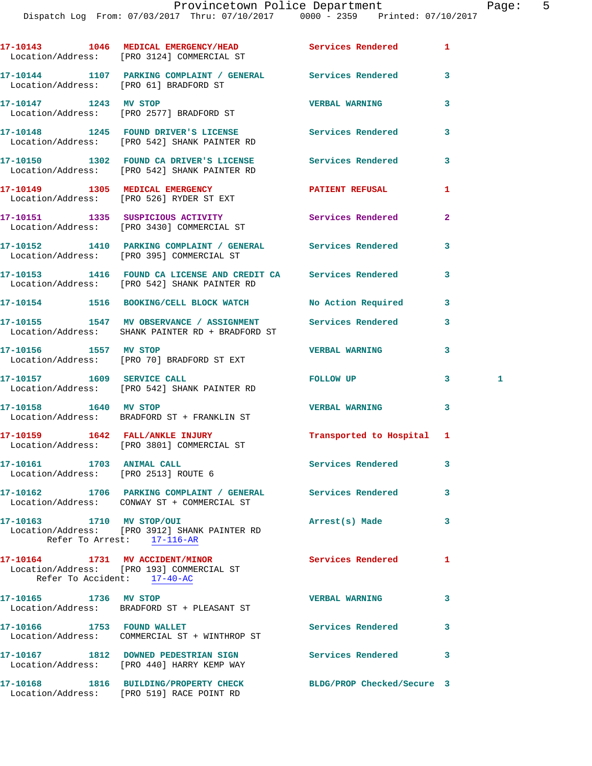Dispatch Log From: 07/03/2017 Thru: 07/10/2017 0000 - 2359 Printed: 07/10/2017

|                                                                   | 17-10143 1046 MEDICAL EMERGENCY/HEAD Services Rendered<br>Location/Address: [PRO 3124] COMMERCIAL ST           |                            | 1              |   |
|-------------------------------------------------------------------|----------------------------------------------------------------------------------------------------------------|----------------------------|----------------|---|
|                                                                   | 17-10144 1107 PARKING COMPLAINT / GENERAL Services Rendered<br>Location/Address: [PRO 61] BRADFORD ST          |                            | 3              |   |
| 17-10147 1243 MV STOP                                             | Location/Address: [PRO 2577] BRADFORD ST                                                                       | <b>VERBAL WARNING</b>      | 3              |   |
|                                                                   | 17-10148 1245 FOUND DRIVER'S LICENSE Services Rendered<br>Location/Address: [PRO 542] SHANK PAINTER RD         |                            | 3              |   |
|                                                                   | 17-10150 1302 FOUND CA DRIVER'S LICENSE Services Rendered<br>Location/Address: [PRO 542] SHANK PAINTER RD      |                            | 3              |   |
|                                                                   | 17-10149 1305 MEDICAL EMERGENCY <b>NEW PATIENT REFUSAL</b><br>Location/Address: [PRO 526] RYDER ST EXT         |                            | 1              |   |
|                                                                   | 17-10151 1335 SUSPICIOUS ACTIVITY 1997 Services Rendered<br>Location/Address: [PRO 3430] COMMERCIAL ST         |                            | $\overline{a}$ |   |
|                                                                   | 17-10152 1410 PARKING COMPLAINT / GENERAL Services Rendered<br>Location/Address: [PRO 395] COMMERCIAL ST       |                            | 3              |   |
|                                                                   | 17-10153 1416 FOUND CA LICENSE AND CREDIT CA Services Rendered<br>Location/Address: [PRO 542] SHANK PAINTER RD |                            | 3              |   |
|                                                                   | 17-10154 1516 BOOKING/CELL BLOCK WATCH No Action Required                                                      |                            | 3              |   |
|                                                                   | 17-10155 1547 MV OBSERVANCE / ASSIGNMENT<br>Location/Address: SHANK PAINTER RD + BRADFORD ST                   | Services Rendered          | 3              |   |
|                                                                   | 17-10156 1557 MV STOP<br>Location/Address: [PRO 70] BRADFORD ST EXT                                            | <b>VERBAL WARNING</b>      | 3              |   |
| 17-10157 1609 SERVICE CALL                                        | Location/Address: [PRO 542] SHANK PAINTER RD                                                                   | FOLLOW UP                  | 3              | 1 |
|                                                                   | 17-10158    1640    MV STOP<br>Location/Address: BRADFORD ST + FRANKLIN ST                                     | <b>VERBAL WARNING</b>      | 3              |   |
|                                                                   | 17-10159    1642    FALL/ANKLE INJURY<br>Location/Address: [PRO 3801] COMMERCIAL ST                            | Transported to Hospital 1  |                |   |
| 17-10161 1703 ANIMAL CALL<br>Location/Address: [PRO 2513] ROUTE 6 |                                                                                                                | Services Rendered 3        |                |   |
|                                                                   | 17-10162 1706 PARKING COMPLAINT / GENERAL Services Rendered<br>Location/Address: CONWAY ST + COMMERCIAL ST     |                            | 3              |   |
|                                                                   | 17-10163 1710 MV STOP/OUI<br>Location/Address: [PRO 3912] SHANK PAINTER RD<br>Refer To Arrest: 17-116-AR       | Arrest(s) Made             | 3              |   |
| Refer To Accident: 17-40-AC                                       | 17-10164 1731 MV ACCIDENT/MINOR Services Rendered<br>Location/Address: [PRO 193] COMMERCIAL ST                 |                            | 1              |   |
| 17-10165    1736 MV STOP                                          | Location/Address: BRADFORD ST + PLEASANT ST                                                                    | <b>VERBAL WARNING</b>      | 3              |   |
| 17-10166 1753 FOUND WALLET                                        | Location/Address: COMMERCIAL ST + WINTHROP ST                                                                  | Services Rendered          | 3              |   |
|                                                                   | 17-10167 1812 DOWNED PEDESTRIAN SIGN<br>Location/Address: [PRO 440] HARRY KEMP WAY                             | <b>Services Rendered</b>   | 3              |   |
|                                                                   | 17-10168 1816 BUILDING/PROPERTY CHECK<br>Location/Address: [PRO 519] RACE POINT RD                             | BLDG/PROP Checked/Secure 3 |                |   |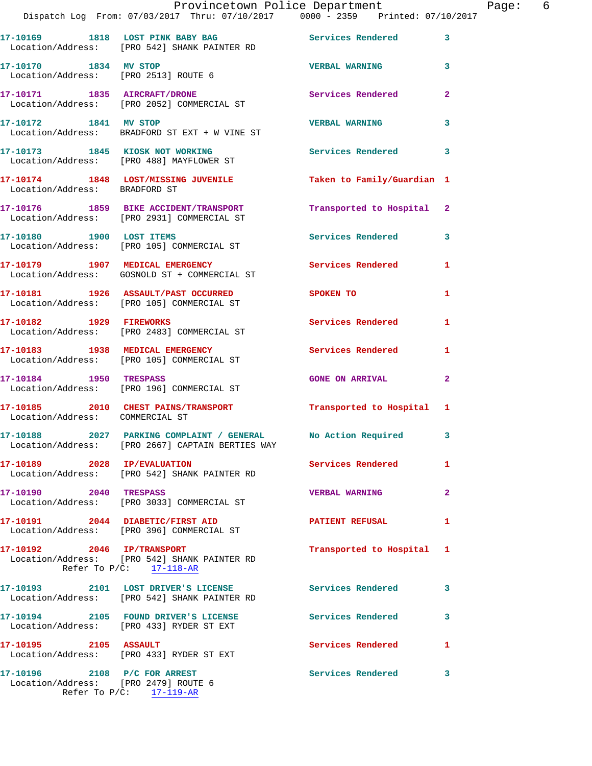|                                                                      | Provincetown Police Department                                                      |                            |                |
|----------------------------------------------------------------------|-------------------------------------------------------------------------------------|----------------------------|----------------|
|                                                                      | Dispatch Log From: 07/03/2017 Thru: 07/10/2017 0000 - 2359 Printed: 07/10/2017      |                            |                |
|                                                                      | 17-10169 1818 LOST PINK BABY BAG<br>Location/Address: [PRO 542] SHANK PAINTER RD    | <b>Services Rendered</b>   | 3              |
| 17-10170 1834 MV STOP<br>Location/Address: [PRO 2513] ROUTE 6        |                                                                                     | <b>VERBAL WARNING</b>      | 3              |
|                                                                      | 17-10171 1835 AIRCRAFT/DRONE<br>Location/Address: [PRO 2052] COMMERCIAL ST          | Services Rendered          | $\overline{a}$ |
| 17-10172 1841 MV STOP                                                | Location/Address: BRADFORD ST EXT + W VINE ST                                       | <b>VERBAL WARNING</b>      | 3              |
|                                                                      | 17-10173 1845 KIOSK NOT WORKING<br>Location/Address: [PRO 488] MAYFLOWER ST         | <b>Services Rendered</b>   | 3              |
| Location/Address: BRADFORD ST                                        | 17-10174 1848 LOST/MISSING JUVENILE                                                 | Taken to Family/Guardian 1 |                |
|                                                                      | 17-10176 1859 BIKE ACCIDENT/TRANSPORT<br>Location/Address: [PRO 2931] COMMERCIAL ST | Transported to Hospital    | $\mathbf{2}$   |
|                                                                      | 17-10180 1900 LOST ITEMS<br>Location/Address: [PRO 105] COMMERCIAL ST               | Services Rendered          | 3              |
|                                                                      | 17-10179 1907 MEDICAL EMERGENCY<br>Location/Address: GOSNOLD ST + COMMERCIAL ST     | <b>Services Rendered</b>   | 1              |
|                                                                      | 17-10181 1926 ASSAULT/PAST OCCURRED<br>Location/Address: [PRO 105] COMMERCIAL ST    | SPOKEN TO                  | 1              |
| 17-10182    1929    FIREWORKS                                        | Location/Address: [PRO 2483] COMMERCIAL ST                                          | Services Rendered          | 1              |
|                                                                      | 17-10183 1938 MEDICAL EMERGENCY<br>Location/Address: [PRO 105] COMMERCIAL ST        | Services Rendered          | 1              |
| 17-10184 1950 TRESPASS                                               | Location/Address: [PRO 196] COMMERCIAL ST                                           | <b>GONE ON ARRIVAL</b>     | $\mathbf{2}$   |
| Location/Address: COMMERCIAL ST                                      | 17-10185 2010 CHEST PAINS/TRANSPORT                                                 | Transported to Hospital    | 1              |
|                                                                      | Location/Address: [PRO 2667] CAPTAIN BERTIES WAY                                    |                            |                |
| 17-10189 2028 IP/EVALUATION                                          | Location/Address: [PRO 542] SHANK PAINTER RD                                        | Services Rendered          | 1              |
| 17-10190 2040 TRESPASS                                               | Location/Address: [PRO 3033] COMMERCIAL ST                                          | <b>VERBAL WARNING</b>      | $\overline{a}$ |
|                                                                      | 17-10191 2044 DIABETIC/FIRST AID<br>Location/Address: [PRO 396] COMMERCIAL ST       | <b>PATIENT REFUSAL</b>     | 1              |
| 17-10192 2046 IP/TRANSPORT                                           | Location/Address: [PRO 542] SHANK PAINTER RD<br>Refer To $P/C$ : 17-118-AR          | Transported to Hospital    | 1              |
|                                                                      | 17-10193 2101 LOST DRIVER'S LICENSE<br>Location/Address: [PRO 542] SHANK PAINTER RD | <b>Services Rendered</b>   | 3              |
|                                                                      | 17-10194 2105 FOUND DRIVER'S LICENSE<br>Location/Address: [PRO 433] RYDER ST EXT    | <b>Services Rendered</b>   | 3              |
| 17-10195 2105 ASSAULT                                                | Location/Address: [PRO 433] RYDER ST EXT                                            | <b>Services Rendered</b>   | 1              |
| 17-10196 2108 P/C FOR ARREST<br>Location/Address: [PRO 2479] ROUTE 6 | Refer To $P/C$ : 17-119-AR                                                          | <b>Services Rendered</b>   | 3              |
|                                                                      |                                                                                     |                            |                |

Page: 6<br><sup>17</sup>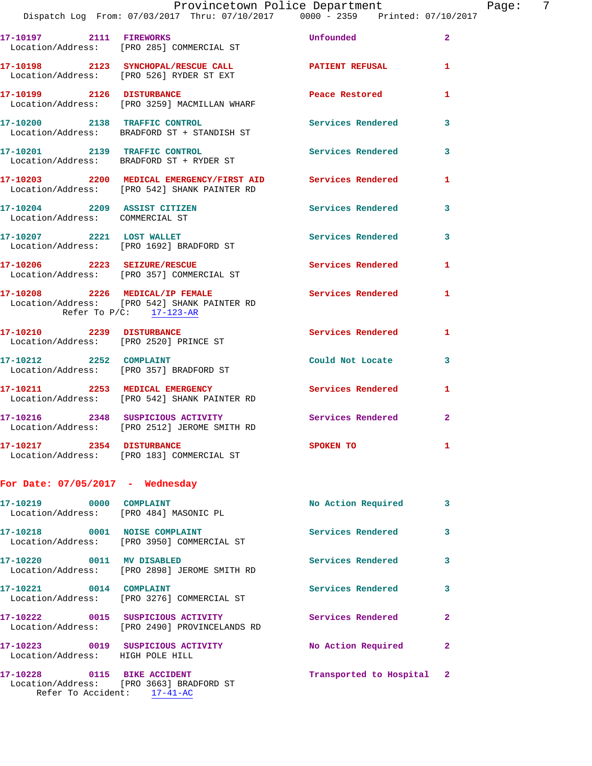|  |  |                                       | Provincetown Police Department      |  | Page: |  |
|--|--|---------------------------------------|-------------------------------------|--|-------|--|
|  |  | log From: 07/03/2017 Thru: 07/10/2017 | $0000 - 2359$ Printed: $07/10/2017$ |  |       |  |
|  |  |                                       |                                     |  |       |  |

|                                                                 | Dispatch Log From: 07/03/2017 Thru: 07/10/2017 0000 - 2359 Printed: 07/10/                                    |                          |                         |
|-----------------------------------------------------------------|---------------------------------------------------------------------------------------------------------------|--------------------------|-------------------------|
| 17-10197 2111 FIREWORKS                                         | Location/Address: [PRO 285] COMMERCIAL ST                                                                     | <b>Unfounded</b>         | $\overline{2}$          |
|                                                                 | 17-10198 2123 SYNCHOPAL/RESCUE CALL<br>Location/Address: [PRO 526] RYDER ST EXT                               | PATIENT REFUSAL          | $\mathbf{1}$            |
| 17-10199 2126 DISTURBANCE                                       | Location/Address: [PRO 3259] MACMILLAN WHARF                                                                  | Peace Restored           | $\mathbf{1}$            |
|                                                                 | 17-10200 2138 TRAFFIC CONTROL<br>Location/Address: BRADFORD ST + STANDISH ST                                  | <b>Services Rendered</b> | $\overline{\mathbf{3}}$ |
| 17-10201 2139 TRAFFIC CONTROL                                   | Location/Address: BRADFORD ST + RYDER ST                                                                      | Services Rendered 3      |                         |
|                                                                 | 17-10203 2200 MEDICAL EMERGENCY/FIRST AID Services Rendered<br>Location/Address: [PRO 542] SHANK PAINTER RD   |                          | $\mathbf{1}$            |
| 17-10204 2209 ASSIST CITIZEN<br>Location/Address: COMMERCIAL ST |                                                                                                               | Services Rendered        | $\mathbf{3}$            |
| 17-10207 2221 LOST WALLET                                       | Location/Address: [PRO 1692] BRADFORD ST                                                                      | Services Rendered 3      |                         |
|                                                                 | 17-10206 2223 SEIZURE/RESCUE<br>Location/Address: [PRO 357] COMMERCIAL ST                                     | <b>Services Rendered</b> | $\mathbf{1}$            |
|                                                                 | 17-10208 2226 MEDICAL/IP FEMALE<br>Location/Address: [PRO 542] SHANK PAINTER RD<br>Refer To $P/C$ : 17-123-AR | <b>Services Rendered</b> | $\mathbf{1}$            |
| 17-10210 2239 DISTURBANCE                                       | Location/Address: [PRO 2520] PRINCE ST                                                                        | Services Rendered        | $\mathbf{1}$            |
| 17-10212 2252 COMPLAINT                                         | Location/Address: [PRO 357] BRADFORD ST                                                                       | Could Not Locate         | 3                       |
|                                                                 | 17-10211 2253 MEDICAL EMERGENCY<br>Location/Address: [PRO 542] SHANK PAINTER RD                               | <b>Services Rendered</b> | $\mathbf{1}$            |
|                                                                 | 17-10216 2348 SUSPICIOUS ACTIVITY<br>Location/Address: [PRO 2512] JEROME SMITH RD                             | Services Rendered 2      |                         |
| 17-10217 2354 DISTURBANCE                                       | Location/Address: [PRO 183] COMMERCIAL ST                                                                     | <b>SPOKEN TO</b>         | 1                       |
|                                                                 |                                                                                                               |                          |                         |

## **For Date: 07/05/2017 - Wednesday**

Refer To Accident: 17-41-AC

| 17-10219 0000<br>Location/Address: [PRO 484] MASONIC PL | <b>COMPLAINT</b>                                            | No Action Required        | $\mathbf{3}$ |
|---------------------------------------------------------|-------------------------------------------------------------|---------------------------|--------------|
| Location/Address:                                       | <b>NOISE COMPLAINT</b><br>[PRO 3950] COMMERCIAL ST          | Services Rendered         | 3            |
| 17-10220<br>0011                                        | MV DISABLED<br>Location/Address: [PRO 2898] JEROME SMITH RD | Services Rendered         | 3            |
| 17-10221 0014<br>Location/Address:                      | COMPLAINT<br>[PRO 3276] COMMERCIAL ST                       | Services Rendered         | 3            |
| 17-10222  0015 SUSPICIOUS ACTIVITY<br>Location/Address: | [PRO 2490] PROVINCELANDS RD                                 | Services Rendered         | $\mathbf{2}$ |
| Location/Address: HIGH POLE HILL                        |                                                             | No Action Required        | $\mathbf{2}$ |
| Location/Address:                                       | FRO 36631 BRADFORD ST                                       | Transported to Hospital 2 |              |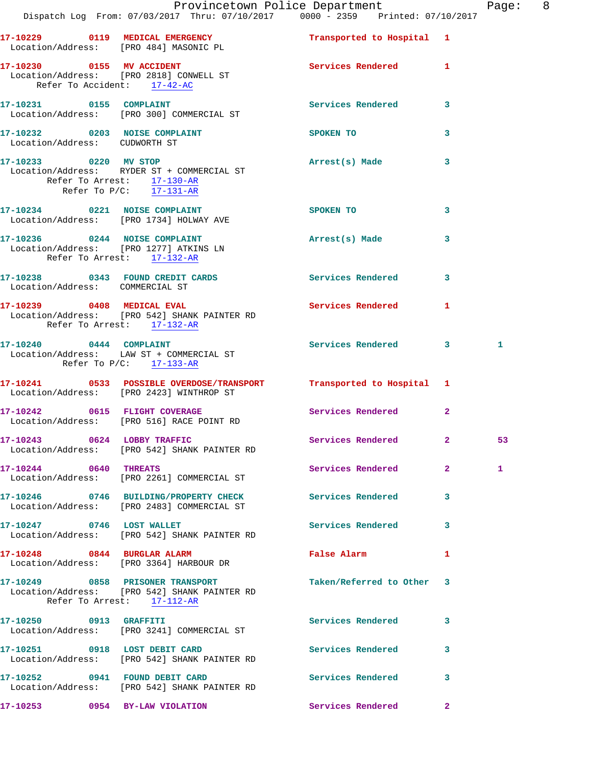|                                                | Dispatch Log From: 07/03/2017 Thru: 07/10/2017 0000 - 2359 Printed: 07/10/2017                                  | Provincetown Police Department |              | Page: 8 |  |
|------------------------------------------------|-----------------------------------------------------------------------------------------------------------------|--------------------------------|--------------|---------|--|
|                                                | 17-10229 0119 MEDICAL EMERGENCY Transported to Hospital 1<br>Location/Address: [PRO 484] MASONIC PL             |                                |              |         |  |
| Refer To Accident: 17-42-AC                    | 17-10230 0155 MV ACCIDENT Services Rendered 1<br>Location/Address: [PRO 2818] CONWELL ST Services Rendered 1    |                                |              |         |  |
|                                                | 17-10231 0155 COMPLAINT<br>Location/Address: [PRO 300] COMMERCIAL ST                                            | Services Rendered 3            |              |         |  |
| Location/Address: CUDWORTH ST                  | 17-10232 0203 NOISE COMPLAINT SPOKEN TO                                                                         |                                | $\mathbf{3}$ |         |  |
| Refer To Arrest: $\frac{17-130-AR}{17-131-AR}$ | 17-10233 0220 MV STOP<br>Location/Address: RYDER ST + COMMERCIAL ST                                             | Arrest(s) Made 3               |              |         |  |
|                                                | 17-10234 0221 NOISE COMPLAINT<br>Location/Address: [PRO 1734] HOLWAY AVE                                        | <b>SPOKEN TO</b>               | 3            |         |  |
| Refer To Arrest: 17-132-AR                     | 17-10236 0244 NOISE COMPLAINT<br>Location/Address: [PRO 1277] ATKINS LN                                         | Arrest(s) Made                 | 3            |         |  |
| Location/Address: COMMERCIAL ST                | 17-10238 0343 FOUND CREDIT CARDS Services Rendered 3                                                            |                                |              |         |  |
| Refer To Arrest: 17-132-AR                     | 17-10239 0408 MEDICAL EVAL<br>Location/Address: [PRO 542] SHANK PAINTER RD                                      | Services Rendered 1            |              |         |  |
| Refer To $P/C$ : 17-133-AR                     | 17-10240 0444 COMPLAINT<br>Location/Address: LAW ST + COMMERCIAL ST                                             | Services Rendered 3            |              | 1       |  |
|                                                | 17-10241 0533 POSSIBLE OVERDOSE/TRANSPORT Transported to Hospital 1<br>Location/Address: [PRO 2423] WINTHROP ST |                                |              |         |  |
|                                                | 17-10242 0615 FLIGHT COVERAGE<br>Location/Address: [PRO 516] RACE POINT RD                                      | Services Rendered 2            |              |         |  |
|                                                | 17-10243 0624 LOBBY TRAFFIC<br>Location/Address: [PRO 542] SHANK PAINTER RD                                     | Services Rendered 2            |              | 53      |  |
| 17-10244 0640 THREATS                          | Location/Address: [PRO 2261] COMMERCIAL ST                                                                      | Services Rendered 2            |              | 1       |  |
|                                                | 17-10246 0746 BUILDING/PROPERTY CHECK<br>Location/Address: [PRO 2483] COMMERCIAL ST                             | <b>Services Rendered</b>       | 3            |         |  |
| 17-10247 0746 LOST WALLET                      | Location/Address: [PRO 542] SHANK PAINTER RD                                                                    | Services Rendered 3            |              |         |  |
|                                                | 17-10248 0844 BURGLAR ALARM<br>Location/Address: [PRO 3364] HARBOUR DR                                          | <b>False Alarm</b>             | $\mathbf{1}$ |         |  |
|                                                | 17-10249 0858 PRISONER TRANSPORT<br>Location/Address: [PRO 542] SHANK PAINTER RD<br>Refer To Arrest: 17-112-AR  | Taken/Referred to Other 3      |              |         |  |
| 17-10250 0913 GRAFFITI                         | Location/Address: [PRO 3241] COMMERCIAL ST                                                                      | <b>Services Rendered</b>       | $\mathbf{3}$ |         |  |
|                                                | 17-10251 0918 LOST DEBIT CARD<br>Location/Address: [PRO 542] SHANK PAINTER RD                                   | Services Rendered              | $\mathbf{3}$ |         |  |
|                                                | 17-10252 0941 FOUND DEBIT CARD<br>Location/Address: [PRO 542] SHANK PAINTER RD                                  | Services Rendered 3            |              |         |  |

**17-10253 0954 BY-LAW VIOLATION Services Rendered 2**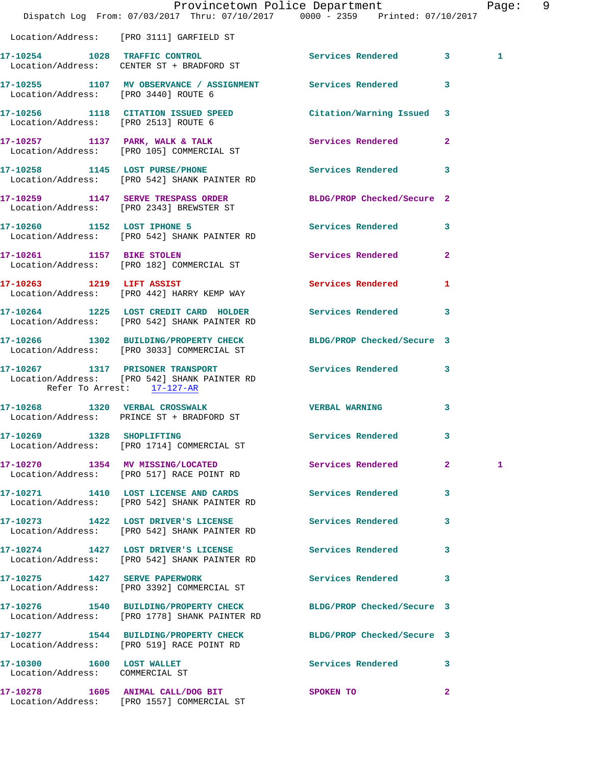|                                                              | Provincetown Police Department<br>Dispatch Log From: 07/03/2017 Thru: 07/10/2017 0000 - 2359 Printed: 07/10/2017 |                            |              | Page: 9      |  |
|--------------------------------------------------------------|------------------------------------------------------------------------------------------------------------------|----------------------------|--------------|--------------|--|
|                                                              | Location/Address: [PRO 3111] GARFIELD ST                                                                         |                            |              |              |  |
|                                                              | 17-10254 1028 TRAFFIC CONTROL<br>Location/Address: CENTER ST + BRADFORD ST                                       | Services Rendered 3        |              | $\mathbf{1}$ |  |
| Location/Address: [PRO 3440] ROUTE 6                         | 17-10255 1107 MV OBSERVANCE / ASSIGNMENT Services Rendered 3                                                     |                            |              |              |  |
| Location/Address: [PRO 2513] ROUTE 6                         | 17-10256 1118 CITATION ISSUED SPEED                                                                              | Citation/Warning Issued 3  |              |              |  |
|                                                              | 17-10257 1137 PARK, WALK & TALK 1999 Services Rendered 2<br>Location/Address: [PRO 105] COMMERCIAL ST            |                            |              |              |  |
|                                                              | 17-10258 1145 LOST PURSE/PHONE<br>Location/Address: [PRO 542] SHANK PAINTER RD                                   | Services Rendered 3        |              |              |  |
|                                                              | 17-10259 1147 SERVE TRESPASS ORDER<br>Location/Address: [PRO 2343] BREWSTER ST                                   | BLDG/PROP Checked/Secure 2 |              |              |  |
|                                                              | 17-10260 1152 LOST IPHONE 5 Services Rendered 3<br>Location/Address: [PRO 542] SHANK PAINTER RD                  |                            |              |              |  |
|                                                              | 17-10261 1157 BIKE STOLEN<br>Location/Address: [PRO 182] COMMERCIAL ST                                           | Services Rendered          | $\mathbf{2}$ |              |  |
|                                                              | 17-10263 1219 LIFT ASSIST<br>Location/Address: [PRO 442] HARRY KEMP WAY                                          | Services Rendered          | $\mathbf{1}$ |              |  |
|                                                              | 17-10264 1225 LOST CREDIT CARD HOLDER Services Rendered 3<br>Location/Address: [PRO 542] SHANK PAINTER RD        |                            |              |              |  |
|                                                              | 17-10266 1302 BUILDING/PROPERTY CHECK<br>Location/Address: [PRO 3033] COMMERCIAL ST                              | BLDG/PROP Checked/Secure 3 |              |              |  |
| Refer To Arrest: 17-127-AR                                   | 17-10267 1317 PRISONER TRANSPORT<br>Location/Address: [PRO 542] SHANK PAINTER RD                                 | Services Rendered 3        |              |              |  |
|                                                              | 17-10268 1320 VERBAL CROSSWALK<br>Location/Address: PRINCE ST + BRADFORD ST                                      | <b>VERBAL WARNING</b>      | 3            |              |  |
| 17-10269 1328 SHOPLIFTING                                    | Location/Address: [PRO 1714] COMMERCIAL ST                                                                       | Services Rendered          | 3            |              |  |
|                                                              | 17-10270 1354 MV MISSING/LOCATED<br>Location/Address: [PRO 517] RACE POINT RD                                    | Services Rendered 2        |              | 1            |  |
|                                                              | 17-10271 1410 LOST LICENSE AND CARDS<br>Location/Address: [PRO 542] SHANK PAINTER RD                             | Services Rendered          | 3            |              |  |
|                                                              | 17-10273 1422 LOST DRIVER'S LICENSE<br>Location/Address: [PRO 542] SHANK PAINTER RD                              | Services Rendered          | 3            |              |  |
|                                                              | 17-10274 1427 LOST DRIVER'S LICENSE<br>Location/Address: [PRO 542] SHANK PAINTER RD                              | Services Rendered          | 3            |              |  |
| 17-10275 1427 SERVE PAPERWORK                                | Location/Address: [PRO 3392] COMMERCIAL ST                                                                       | Services Rendered          | 3            |              |  |
|                                                              | 17-10276 1540 BUILDING/PROPERTY CHECK<br>Location/Address: [PRO 1778] SHANK PAINTER RD                           | BLDG/PROP Checked/Secure 3 |              |              |  |
|                                                              | 17-10277 1544 BUILDING/PROPERTY CHECK<br>Location/Address: [PRO 519] RACE POINT RD                               | BLDG/PROP Checked/Secure 3 |              |              |  |
| 17-10300 1600 LOST WALLET<br>Location/Address: COMMERCIAL ST |                                                                                                                  | Services Rendered 3        |              |              |  |
|                                                              | 17-10278 1605 ANIMAL CALL/DOG BIT<br>Location/Address: [PRO 1557] COMMERCIAL ST                                  | SPOKEN TO                  | $\mathbf{2}$ |              |  |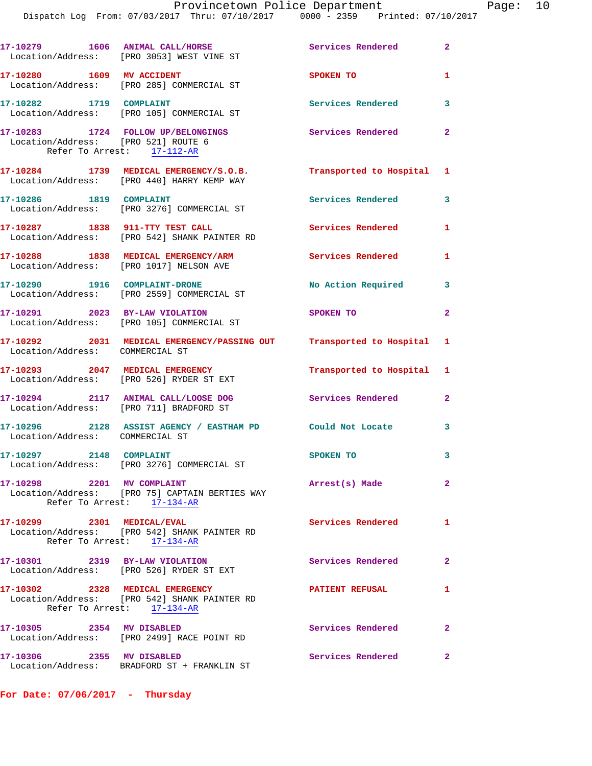|                                                                   | Dispatch Log From: 07/03/2017 Thru: 07/10/2017 0000 - 2359 Printed: 07/10/2017                                |                          |                |
|-------------------------------------------------------------------|---------------------------------------------------------------------------------------------------------------|--------------------------|----------------|
|                                                                   | 17-10279 1606 ANIMAL CALL/HORSE<br>Location/Address: [PRO 3053] WEST VINE ST                                  | <b>Services Rendered</b> | $\overline{a}$ |
|                                                                   | 17-10280 1609 MV ACCIDENT<br>Location/Address: [PRO 285] COMMERCIAL ST                                        | SPOKEN TO                | 1              |
| 17-10282 1719 COMPLAINT                                           | Location/Address: [PRO 105] COMMERCIAL ST                                                                     | Services Rendered        | 3              |
| Location/Address: [PRO 521] ROUTE 6<br>Refer To Arrest: 17-112-AR | 17-10283 1724 FOLLOW UP/BELONGINGS                                                                            | <b>Services Rendered</b> | $\overline{2}$ |
|                                                                   | 17-10284 1739 MEDICAL EMERGENCY/S.O.B. Transported to Hospital<br>Location/Address: [PRO 440] HARRY KEMP WAY  |                          | 1              |
| 17-10286 1819 COMPLAINT                                           | Location/Address: [PRO 3276] COMMERCIAL ST                                                                    | Services Rendered        | 3              |
|                                                                   | 17-10287 1838 911-TTY TEST CALL<br>Location/Address: [PRO 542] SHANK PAINTER RD                               | Services Rendered        | 1              |
|                                                                   | 17-10288 1838 MEDICAL EMERGENCY/ARM<br>Location/Address: [PRO 1017] NELSON AVE                                | Services Rendered        | 1              |
|                                                                   | 17-10290 1916 COMPLAINT-DRONE<br>Location/Address: [PRO 2559] COMMERCIAL ST                                   | No Action Required       | 3              |
|                                                                   | 17-10291 2023 BY-LAW VIOLATION<br>Location/Address: [PRO 105] COMMERCIAL ST                                   | <b>SPOKEN TO</b>         | $\overline{a}$ |
| Location/Address: COMMERCIAL ST                                   | 17-10292 2031 MEDICAL EMERGENCY/PASSING OUT Transported to Hospital                                           |                          | 1              |
|                                                                   | 17-10293 2047 MEDICAL EMERGENCY<br>Location/Address: [PRO 526] RYDER ST EXT                                   | Transported to Hospital  | 1              |
|                                                                   | 17-10294 2117 ANIMAL CALL/LOOSE DOG<br>Location/Address: [PRO 711] BRADFORD ST                                | Services Rendered        | 2              |
| Location/Address: COMMERCIAL ST                                   | 17-10296 2128 ASSIST AGENCY / EASTHAM PD Could Not Locate                                                     |                          | 3              |
| 17-10297 2148 COMPLAINT                                           | Location/Address: [PRO 3276] COMMERCIAL ST                                                                    | SPOKEN TO                | 3              |
| 17-10298 2201 MV COMPLAINT                                        | Location/Address: [PRO 75] CAPTAIN BERTIES WAY<br>Refer To Arrest: 17-134-AR                                  | Arrest(s) Made           | $\mathbf{2}$   |
| 17-10299 2301 MEDICAL/EVAL                                        | Location/Address: [PRO 542] SHANK PAINTER RD<br>Refer To Arrest: 17-134-AR                                    | <b>Services Rendered</b> | 1              |
|                                                                   | 17-10301 2319 BY-LAW VIOLATION<br>Location/Address: [PRO 526] RYDER ST EXT                                    | Services Rendered        | 2              |
|                                                                   | 17-10302 2328 MEDICAL EMERGENCY<br>Location/Address: [PRO 542] SHANK PAINTER RD<br>Refer To Arrest: 17-134-AR | <b>PATIENT REFUSAL</b>   | 1              |
| 17-10305 2354 MV DISABLED                                         | Location/Address: [PRO 2499] RACE POINT RD                                                                    | Services Rendered        | $\mathbf{2}$   |
| 17-10306 2355 MV DISABLED                                         | Location/Address: BRADFORD ST + FRANKLIN ST                                                                   | <b>Services Rendered</b> | $\mathbf{2}$   |

**For Date: 07/06/2017 - Thursday**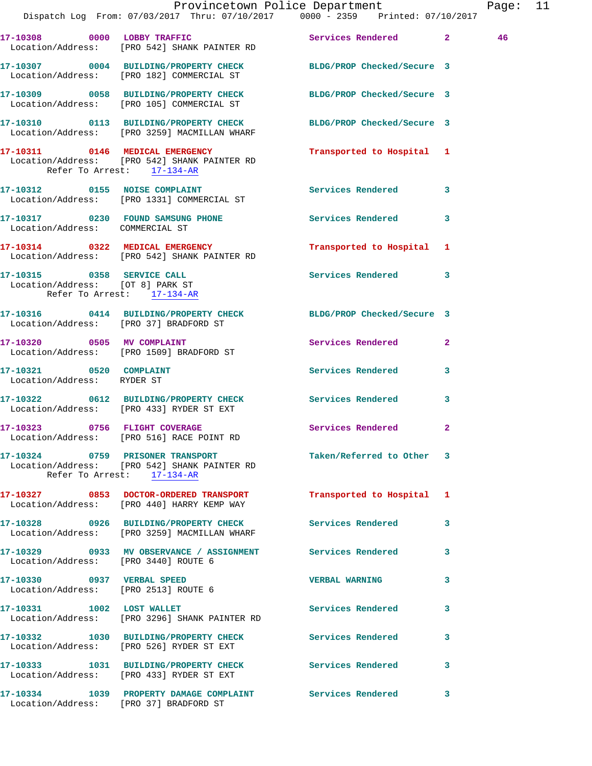|                                                                |                                                                                       | Provincetown Police Department<br>Dispatch Log From: 07/03/2017 Thru: 07/10/2017 0000 - 2359 Printed: 07/10/2017 | Page: 11 |  |
|----------------------------------------------------------------|---------------------------------------------------------------------------------------|------------------------------------------------------------------------------------------------------------------|----------|--|
|                                                                | 17-10308 0000 LOBBY TRAFFIC<br>Location/Address: [PRO 542] SHANK PAINTER RD           | Services Rendered 2                                                                                              | 46       |  |
|                                                                | Location/Address: [PRO 182] COMMERCIAL ST                                             | 17-10307 0004 BUILDING/PROPERTY CHECK BLDG/PROP Checked/Secure 3                                                 |          |  |
|                                                                |                                                                                       | 17-10309 0058 BUILDING/PROPERTY CHECK BLDG/PROP Checked/Secure 3<br>Location/Address: [PRO 105] COMMERCIAL ST    |          |  |
|                                                                | 17-10310 0113 BUILDING/PROPERTY CHECK<br>Location/Address: [PRO 3259] MACMILLAN WHARF | BLDG/PROP Checked/Secure 3                                                                                       |          |  |
| Refer To Arrest: 17-134-AR                                     | 17-10311 0146 MEDICAL EMERGENCY<br>Location/Address: [PRO 542] SHANK PAINTER RD       | Transported to Hospital 1                                                                                        |          |  |
|                                                                | 17-10312 0155 NOISE COMPLAINT<br>Location/Address: [PRO 1331] COMMERCIAL ST           | Services Rendered 3                                                                                              |          |  |
| Location/Address: COMMERCIAL ST                                |                                                                                       | 17-10317 0230 FOUND SAMSUNG PHONE Services Rendered 3                                                            |          |  |
|                                                                | 17-10314 0322 MEDICAL EMERGENCY<br>Location/Address: [PRO 542] SHANK PAINTER RD       | Transported to Hospital 1                                                                                        |          |  |
| Location/Address: [OT 8] PARK ST<br>Refer To Arrest: 17-134-AR | 17-10315 0358 SERVICE CALL                                                            | Services Rendered 3                                                                                              |          |  |
| Location/Address: [PRO 37] BRADFORD ST                         |                                                                                       | 17-10316 0414 BUILDING/PROPERTY CHECK BLDG/PROP Checked/Secure 3                                                 |          |  |
|                                                                | 17-10320 0505 MV COMPLAINT<br>Location/Address: [PRO 1509] BRADFORD ST                | Services Rendered<br>$\mathbf{2}$                                                                                |          |  |
| 17-10321 0520 COMPLAINT<br>Location/Address: RYDER ST          |                                                                                       | Services Rendered 3                                                                                              |          |  |
|                                                                | 17-10322 0612 BUILDING/PROPERTY CHECK<br>Location/Address: [PRO 433] RYDER ST EXT     | Services Rendered<br>$\mathbf{3}$                                                                                |          |  |
|                                                                | 17-10323 0756 FLIGHT COVERAGE<br>Location/Address: [PRO 516] RACE POINT RD            | Services Rendered 2                                                                                              |          |  |
|                                                                | Location/Address: [PRO 542] SHANK PAINTER RD<br>Refer To Arrest: 17-134-AR            | 17-10324 0759 PRISONER TRANSPORT TAN Taken/Referred to Other 3                                                   |          |  |
|                                                                | 17-10327 0853 DOCTOR-ORDERED TRANSPORT<br>Location/Address: [PRO 440] HARRY KEMP WAY  | Transported to Hospital 1                                                                                        |          |  |
|                                                                | Location/Address: [PRO 3259] MACMILLAN WHARF                                          | 17-10328 0926 BUILDING/PROPERTY CHECK Services Rendered<br>$\mathbf{3}$                                          |          |  |
| Location/Address: [PRO 3440] ROUTE 6                           |                                                                                       | 17-10329 0933 MV OBSERVANCE / ASSIGNMENT Services Rendered 3                                                     |          |  |
| Location/Address: [PRO 2513] ROUTE 6                           | 17-10330 0937 VERBAL SPEED                                                            | <b>VERBAL WARNING</b><br>$\mathbf{3}$                                                                            |          |  |
|                                                                | 17-10331 1002 LOST WALLET<br>Location/Address: [PRO 3296] SHANK PAINTER RD            | Services Rendered 3                                                                                              |          |  |
|                                                                | Location/Address: [PRO 526] RYDER ST EXT                                              | 17-10332 1030 BUILDING/PROPERTY CHECK Services Rendered<br>$\overline{\mathbf{3}}$                               |          |  |
|                                                                | Location/Address: [PRO 433] RYDER ST EXT                                              | 17-10333 1031 BUILDING/PROPERTY CHECK Services Rendered 3                                                        |          |  |
| Location/Address: [PRO 37] BRADFORD ST                         |                                                                                       | 17-10334 1039 PROPERTY DAMAGE COMPLAINT Services Rendered 3                                                      |          |  |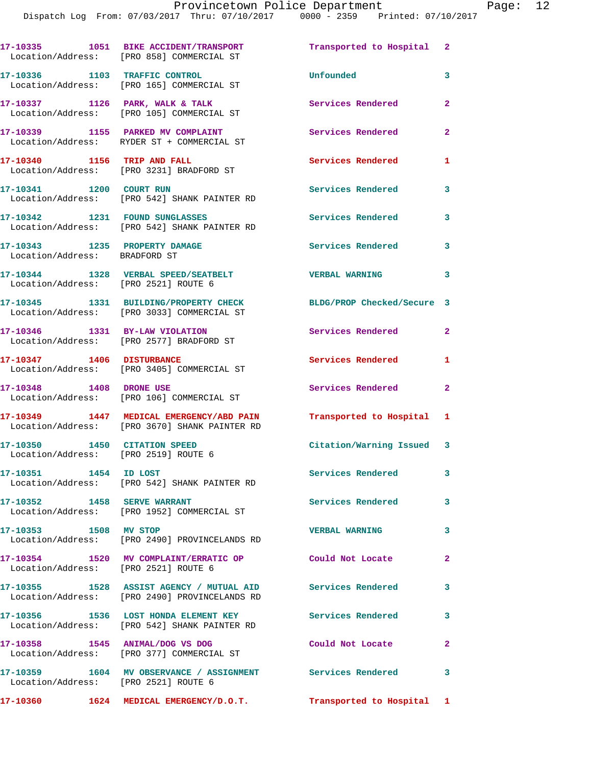**17-10335 1051 BIKE ACCIDENT/TRANSPORT Transported to Hospital 2**  Location/Address: [PRO 858] COMMERCIAL ST **17-10336 1103 TRAFFIC CONTROL Unfounded 3**  Location/Address: [PRO 165] COMMERCIAL ST **17-10337 1126 PARK, WALK & TALK Services Rendered 2**  Location/Address: [PRO 105] COMMERCIAL ST **17-10339 1155 PARKED MV COMPLAINT Services Rendered 2**  Location/Address: RYDER ST + COMMERCIAL ST **17-10340 1156 TRIP AND FALL Services Rendered 1**  Location/Address: [PRO 3231] BRADFORD ST **17-10341 1200 COURT RUN Services Rendered 3**  Location/Address: [PRO 542] SHANK PAINTER RD 17-10342 1231 FOUND SUNGLASSES **120 Services Rendered** 3 Location/Address: [PRO 542] SHANK PAINTER RD **17-10343 1235 PROPERTY DAMAGE Services Rendered 3**  Location/Address: BRADFORD ST **17-10344 1328 VERBAL SPEED/SEATBELT VERBAL WARNING 3**  Location/Address: [PRO 2521] ROUTE 6 **17-10345 1331 BUILDING/PROPERTY CHECK BLDG/PROP Checked/Secure 3**  Location/Address: [PRO 3033] COMMERCIAL ST **17-10346 1331 BY-LAW VIOLATION Services Rendered 2**  Location/Address: [PRO 2577] BRADFORD ST **17-10347 1406 DISTURBANCE Services Rendered 1**  Location/Address: [PRO 3405] COMMERCIAL ST **17-10348 1408 DRONE USE Services Rendered 2**  Location/Address: [PRO 106] COMMERCIAL ST **17-10349 1447 MEDICAL EMERGENCY/ABD PAIN Transported to Hospital 1**  Location/Address: [PRO 3670] SHANK PAINTER RD **17-10350 1450 CITATION SPEED Citation/Warning Issued 3**  Location/Address: [PRO 2519] ROUTE 6 **17-10351 1454 ID LOST Services Rendered 3**  Location/Address: [PRO 542] SHANK PAINTER RD 17-10352 1458 SERVE WARRANT Services Rendered 3 Location/Address: [PRO 1952] COMMERCIAL ST **17-10353 1508 MV STOP VERBAL WARNING 3**  Location/Address: [PRO 2490] PROVINCELANDS RD **17-10354 1520 MV COMPLAINT/ERRATIC OP Could Not Locate 2**  Location/Address: [PRO 2521] ROUTE 6 **17-10355 1528 ASSIST AGENCY / MUTUAL AID Services Rendered 3**  Location/Address: [PRO 2490] PROVINCELANDS RD **17-10356 1536 LOST HONDA ELEMENT KEY Services Rendered 3**  Location/Address: [PRO 542] SHANK PAINTER RD **17-10358 1545 ANIMAL/DOG VS DOG Could Not Locate 2**  Location/Address: [PRO 377] COMMERCIAL ST **17-10359 1604 MV OBSERVANCE / ASSIGNMENT Services Rendered 3**  Location/Address: [PRO 2521] ROUTE 6

**17-10360 1624 MEDICAL EMERGENCY/D.O.T. Transported to Hospital 1**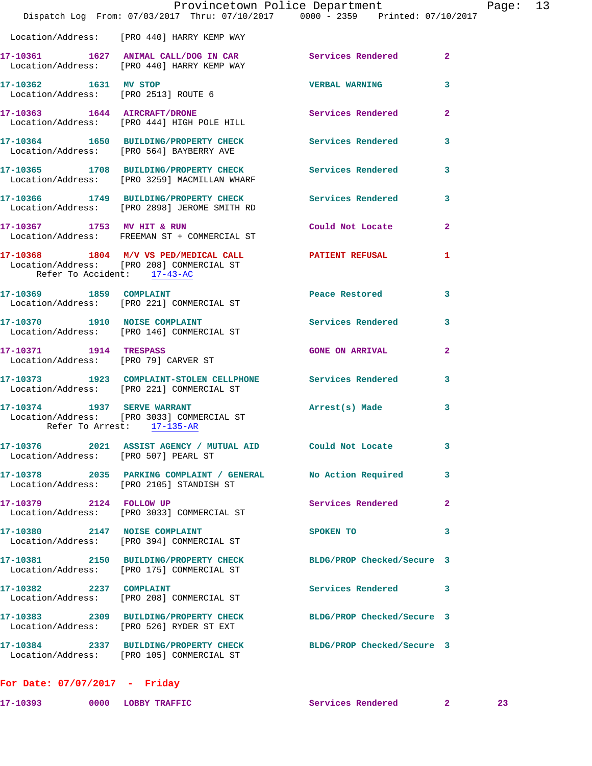|                                                                | Dispatch Log From: 07/03/2017 Thru: 07/10/2017 0000 - 2359 Printed: 07/10/2017                                | Provincetown Police Department | Page: 13                |  |
|----------------------------------------------------------------|---------------------------------------------------------------------------------------------------------------|--------------------------------|-------------------------|--|
|                                                                | Location/Address: [PRO 440] HARRY KEMP WAY                                                                    |                                |                         |  |
|                                                                | 17-10361 1627 ANIMAL CALL/DOG IN CAR Services Rendered 2<br>Location/Address: [PRO 440] HARRY KEMP WAY        |                                |                         |  |
| 17-10362 1631 MV STOP                                          | Location/Address: [PRO 2513] ROUTE 6                                                                          | VERBAL WARNING 3               |                         |  |
|                                                                | 17-10363 1644 AIRCRAFT/DRONE<br>Location/Address: [PRO 444] HIGH POLE HILL                                    | Services Rendered              | $\overline{2}$          |  |
|                                                                | 17-10364 1650 BUILDING/PROPERTY CHECK Services Rendered 3<br>Location/Address: [PRO 564] BAYBERRY AVE         |                                |                         |  |
|                                                                | 17-10365 1708 BUILDING/PROPERTY CHECK<br>Location/Address: [PRO 3259] MACMILLAN WHARF                         | <b>Services Rendered</b>       | $\mathbf{3}$            |  |
|                                                                | 17-10366 1749 BUILDING/PROPERTY CHECK Services Rendered 3<br>Location/Address: [PRO 2898] JEROME SMITH RD     |                                |                         |  |
|                                                                | 17-10367 1753 MV HIT & RUN<br>Location/Address: FREEMAN ST + COMMERCIAL ST                                    | Could Not Locate               | $\mathbf{2}$            |  |
| Refer To Accident: 17-43-AC                                    | 17-10368 1804 M/V VS PED/MEDICAL CALL <b>PATIENT REFUSAL</b><br>Location/Address: [PRO 208] COMMERCIAL ST     |                                | 1                       |  |
|                                                                | 17-10369 1859 COMPLAINT<br>Location/Address: [PRO 221] COMMERCIAL ST                                          | Peace Restored                 | $\mathbf{3}$            |  |
|                                                                | 17-10370 1910 NOISE COMPLAINT<br>Location/Address: [PRO 146] COMMERCIAL ST                                    | Services Rendered 3            |                         |  |
| 17-10371 1914 TRESPASS<br>Location/Address: [PRO 79] CARVER ST |                                                                                                               | <b>GONE ON ARRIVAL</b>         | $\overline{2}$          |  |
|                                                                | 17-10373 1923 COMPLAINT-STOLEN CELLPHONE Services Rendered<br>Location/Address: [PRO 221] COMMERCIAL ST       |                                | $\mathbf{3}$            |  |
|                                                                | 17-10374 1937 SERVE WARRANT<br>Location/Address: [PRO 3033] COMMERCIAL ST<br>Refer To Arrest: 17-135-AR       | Arrest(s) Made                 | $\mathbf{3}$            |  |
| Location/Address: [PRO 507] PEARL ST                           | 17-10376 2021 ASSIST AGENCY / MUTUAL AID Could Not Locate                                                     |                                | 3                       |  |
|                                                                | 17-10378 2035 PARKING COMPLAINT / GENERAL No Action Required<br>Location/Address: [PRO 2105] STANDISH ST      |                                | $\overline{\mathbf{3}}$ |  |
|                                                                | 17-10379 2124 FOLLOW UP<br>Location/Address: [PRO 3033] COMMERCIAL ST                                         | Services Rendered              | $\mathbf{2}$            |  |
|                                                                | 17-10380 2147 NOISE COMPLAINT<br>Location/Address: [PRO 394] COMMERCIAL ST                                    | SPOKEN TO                      | 3                       |  |
|                                                                | 17-10381 2150 BUILDING/PROPERTY CHECK BLDG/PROP Checked/Secure 3<br>Location/Address: [PRO 175] COMMERCIAL ST |                                |                         |  |
| 17-10382 2237 COMPLAINT                                        | Location/Address: [PRO 208] COMMERCIAL ST                                                                     | Services Rendered 3            |                         |  |
|                                                                | 17-10383 2309 BUILDING/PROPERTY CHECK<br>Location/Address: [PRO 526] RYDER ST EXT                             | BLDG/PROP Checked/Secure 3     |                         |  |
|                                                                | 17-10384 2337 BUILDING/PROPERTY CHECK BLDG/PROP Checked/Secure 3<br>Location/Address: [PRO 105] COMMERCIAL ST |                                |                         |  |
| For Date: 07/07/2017 - Friday                                  |                                                                                                               |                                |                         |  |

**17-10393 0000 LOBBY TRAFFIC Services Rendered 2 23**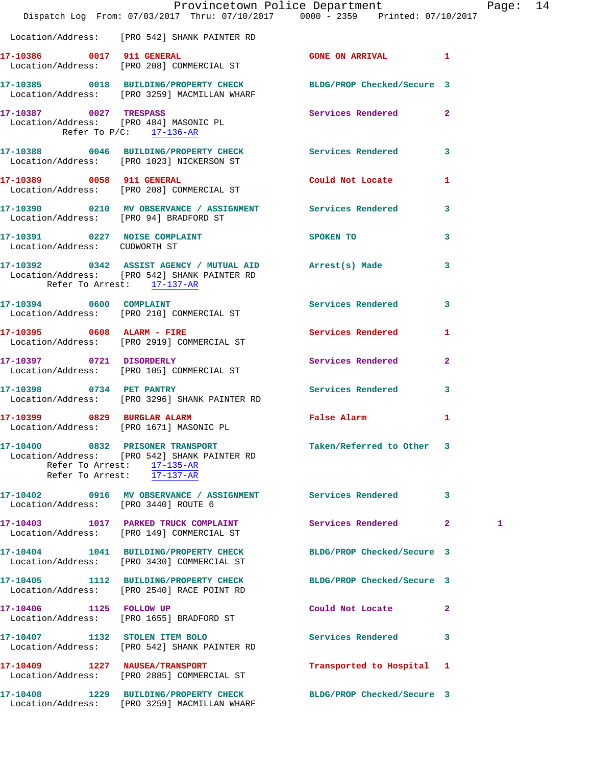|                                                      | Dispatch Log From: 07/03/2017 Thru: 07/10/2017 0000 - 2359 Printed: 07/10/2017                                                                           | Provincetown Police Department Page: 14 |              |   |  |
|------------------------------------------------------|----------------------------------------------------------------------------------------------------------------------------------------------------------|-----------------------------------------|--------------|---|--|
|                                                      | Location/Address: [PRO 542] SHANK PAINTER RD                                                                                                             |                                         |              |   |  |
|                                                      | 17-10386 0017 911 GENERAL<br>Location/Address: [PRO 208] COMMERCIAL ST                                                                                   | GONE ON ARRIVAL 1                       |              |   |  |
|                                                      | 17-10385 0018 BUILDING/PROPERTY CHECK BLDG/PROP Checked/Secure 3<br>Location/Address: [PRO 3259] MACMILLAN WHARF                                         |                                         |              |   |  |
| 17-10387 0027 TRESPASS<br>Refer To $P/C$ : 17-136-AR | Location/Address: [PRO 484] MASONIC PL                                                                                                                   | Services Rendered 2                     |              |   |  |
|                                                      | 17-10388 0046 BUILDING/PROPERTY CHECK Services Rendered 3<br>Location/Address: [PRO 1023] NICKERSON ST                                                   |                                         |              |   |  |
|                                                      | 17-10389 0058 911 GENERAL<br>Location/Address: [PRO 208] COMMERCIAL ST                                                                                   | Could Not Locate 1                      |              |   |  |
| Location/Address: [PRO 94] BRADFORD ST               | 17-10390 0210 MV OBSERVANCE / ASSIGNMENT Services Rendered 3                                                                                             |                                         |              |   |  |
| Location/Address: CUDWORTH ST                        | 17-10391 0227 NOISE COMPLAINT                                                                                                                            | SPOKEN TO                               | 3            |   |  |
| Refer To Arrest: 17-137-AR                           | 17-10392 0342 ASSIST AGENCY / MUTUAL AID Arrest(s) Made 3<br>Location/Address: [PRO 542] SHANK PAINTER RD                                                |                                         |              |   |  |
|                                                      | 17-10394 0600 COMPLAINT<br>Location/Address: [PRO 210] COMMERCIAL ST                                                                                     | Services Rendered                       | 3            |   |  |
| 17-10395 0608 ALARM - FIRE                           | Location/Address: [PRO 2919] COMMERCIAL ST                                                                                                               | Services Rendered 1                     |              |   |  |
|                                                      | 17-10397 0721 DISORDERLY<br>Location/Address: [PRO 105] COMMERCIAL ST                                                                                    | Services Rendered 2                     |              |   |  |
| 17-10398 0734 PET PANTRY                             |                                                                                                                                                          |                                         | $\mathbf{3}$ |   |  |
|                                                      | 17-10399 0829 BURGLAR ALARM<br>Location/Address: [PRO 1671] MASONIC PL                                                                                   | False Alarm                             | 1            |   |  |
|                                                      | 17-10400 0832 PRISONER TRANSPORT<br>Location/Address: [PRO 542] SHANK PAINTER RD<br>Refer To Arrest: $\frac{17-135-AR}{2}$<br>Refer To Arrest: 17-137-AR | Taken/Referred to Other 3               |              |   |  |
| Location/Address: [PRO 3440] ROUTE 6                 | 17-10402 0916 MV OBSERVANCE / ASSIGNMENT Services Rendered                                                                                               |                                         | 3            |   |  |
|                                                      | 17-10403 1017 PARKED TRUCK COMPLAINT<br>Location/Address: [PRO 149] COMMERCIAL ST                                                                        | Services Rendered 2                     |              | 1 |  |
|                                                      | 17-10404 1041 BUILDING/PROPERTY CHECK<br>Location/Address: [PRO 3430] COMMERCIAL ST                                                                      | BLDG/PROP Checked/Secure 3              |              |   |  |
|                                                      | 17-10405 1112 BUILDING/PROPERTY CHECK BLDG/PROP Checked/Secure 3<br>Location/Address: [PRO 2540] RACE POINT RD                                           |                                         |              |   |  |
|                                                      | 17-10406 1125 FOLLOW UP<br>Location/Address: [PRO 1655] BRADFORD ST                                                                                      | Could Not Locate                        | $\mathbf{2}$ |   |  |
|                                                      | 17-10407 1132 STOLEN ITEM BOLO<br>Location/Address: [PRO 542] SHANK PAINTER RD                                                                           | <b>Services Rendered</b>                | 3            |   |  |
|                                                      | 17-10409 1227 NAUSEA/TRANSPORT<br>Location/Address: [PRO 2885] COMMERCIAL ST                                                                             | Transported to Hospital 1               |              |   |  |
|                                                      | 17-10408 1229 BUILDING/PROPERTY CHECK<br>Location/Address: [PRO 3259] MACMILLAN WHARF                                                                    | BLDG/PROP Checked/Secure 3              |              |   |  |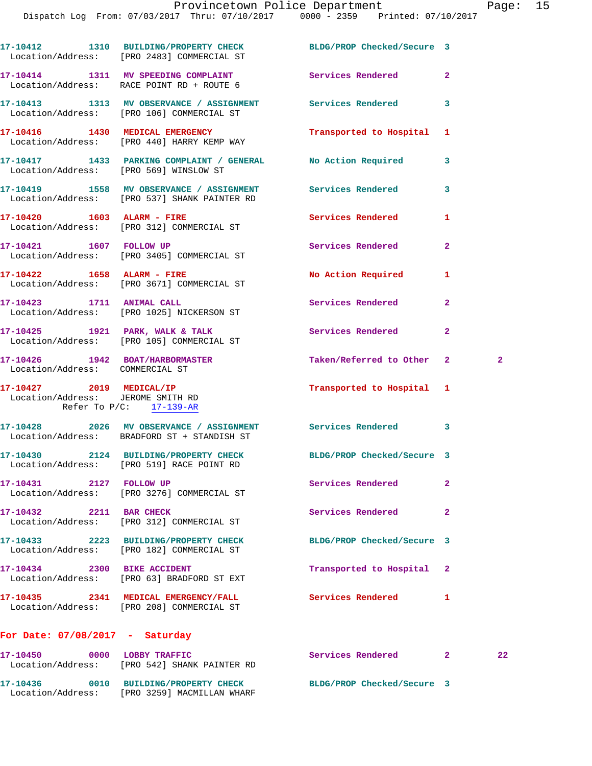Dispatch Log From: 07/03/2017 Thru: 07/10/2017 0000 - 2359 Printed: 07/10/2017

|                                   | 17-10412 1310 BUILDING/PROPERTY CHECK BLDG/PROP Checked/Secure 3<br>Location/Address: [PRO 2483] COMMERCIAL ST |                            |                |              |
|-----------------------------------|----------------------------------------------------------------------------------------------------------------|----------------------------|----------------|--------------|
|                                   | 17-10414 1311 MV SPEEDING COMPLAINT Services Rendered<br>Location/Address: RACE POINT RD + ROUTE 6             |                            | $\mathbf{2}$   |              |
|                                   | 17-10413 1313 MV OBSERVANCE / ASSIGNMENT Services Rendered 3<br>Location/Address: [PRO 106] COMMERCIAL ST      |                            |                |              |
|                                   | 17-10416   1430   MEDICAL EMERGENCY<br>Location/Address: [PRO 440] HARRY KEMP WAY                              | Transported to Hospital 1  |                |              |
|                                   | 17-10417 1433 PARKING COMPLAINT / GENERAL No Action Required<br>Location/Address: [PRO 569] WINSLOW ST         |                            | 3              |              |
|                                   | 17-10419 1558 MV OBSERVANCE / ASSIGNMENT Services Rendered<br>Location/Address: [PRO 537] SHANK PAINTER RD     |                            | 3              |              |
|                                   | 17-10420   1603   ALARM - FIRE<br>Location/Address: [PRO 312] COMMERCIAL ST                                    | Services Rendered          | 1              |              |
|                                   | 17-10421 1607 FOLLOW UP<br>Location/Address: [PRO 3405] COMMERCIAL ST                                          | Services Rendered          | $\overline{2}$ |              |
| 17-10422 1658 ALARM - FIRE        | Location/Address: [PRO 3671] COMMERCIAL ST                                                                     | No Action Required         | 1              |              |
|                                   | 17-10423 1711 ANIMAL CALL<br>Location/Address: [PRO 1025] NICKERSON ST                                         | Services Rendered          | $\overline{a}$ |              |
|                                   | 17-10425 1921 PARK, WALK & TALK 2008 Services Rendered<br>Location/Address: [PRO 105] COMMERCIAL ST            |                            | $\mathbf{2}$   |              |
| Location/Address: COMMERCIAL ST   | 17-10426 1942 BOAT/HARBORMASTER                                                                                | Taken/Referred to Other 2  |                | $\mathbf{2}$ |
| Location/Address: JEROME SMITH RD | 17-10427 2019 MEDICAL/IP<br>Refer To $P/C$ : 17-139-AR                                                         | Transported to Hospital 1  |                |              |
|                                   | 17-10428 2026 MV OBSERVANCE / ASSIGNMENT Services Rendered 3<br>Location/Address: BRADFORD ST + STANDISH ST    |                            |                |              |
|                                   | 17-10430 2124 BUILDING/PROPERTY CHECK BLDG/PROP Checked/Secure 3<br>Location/Address: [PRO 519] RACE POINT RD  |                            |                |              |
| 17-10431 2127 FOLLOW UP           | Location/Address: [PRO 3276] COMMERCIAL ST                                                                     | Services Rendered          | 2              |              |
| 17-10432 2211 BAR CHECK           | Location/Address: [PRO 312] COMMERCIAL ST                                                                      | Services Rendered          | $\mathbf{2}$   |              |
|                                   | 17-10433 2223 BUILDING/PROPERTY CHECK<br>Location/Address: [PRO 182] COMMERCIAL ST                             | BLDG/PROP Checked/Secure 3 |                |              |
| 17-10434 2300 BIKE ACCIDENT       | Location/Address: [PRO 63] BRADFORD ST EXT                                                                     | Transported to Hospital    | 2              |              |
|                                   | 17-10435 2341 MEDICAL EMERGENCY/FALL<br>Location/Address: [PRO 208] COMMERCIAL ST                              | Services Rendered          | 1              |              |
| For Date: $07/08/2017$ - Saturday |                                                                                                                |                            |                |              |
| 17-10450 0000 LOBBY TRAFFIC       | Location/Address: [PRO 542] SHANK PAINTER RD                                                                   | Services Rendered 2        |                | 22           |
|                                   | 17-10436 0010 BUILDING/PROPERTY CHECK                                                                          | BLDG/PROP Checked/Secure 3 |                |              |

Location/Address: [PRO 3259] MACMILLAN WHARF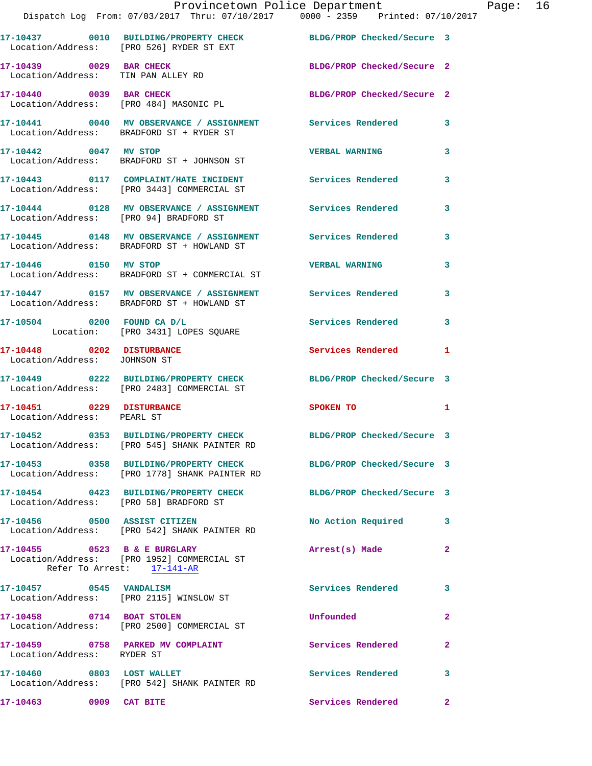|                                        | Provincetown Police Department Page: 16<br>Dispatch Log From: 07/03/2017 Thru: 07/10/2017 0000 - 2359 Printed: 07/10/2017 |                            |              |
|----------------------------------------|---------------------------------------------------------------------------------------------------------------------------|----------------------------|--------------|
|                                        | 17-10437 0010 BUILDING/PROPERTY CHECK BLDG/PROP Checked/Secure 3<br>Location/Address: [PRO 526] RYDER ST EXT              |                            |              |
| Location/Address: TIN PAN ALLEY RD     | 17-10439 0029 BAR CHECK                                                                                                   | BLDG/PROP Checked/Secure 2 |              |
|                                        | 17-10440 0039 BAR CHECK<br>Location/Address: [PRO 484] MASONIC PL                                                         | BLDG/PROP Checked/Secure 2 |              |
|                                        | 17-10441 0040 MV OBSERVANCE / ASSIGNMENT Services Rendered 3<br>Location/Address: BRADFORD ST + RYDER ST                  |                            |              |
|                                        | 17-10442 0047 MV STOP<br>Location/Address: BRADFORD ST + JOHNSON ST                                                       | <b>VERBAL WARNING</b>      | 3            |
|                                        | 17-10443   0117   COMPLAINT/HATE INCIDENT   Services Rendered<br>Location/Address: [PRO 3443] COMMERCIAL ST               |                            | 3            |
|                                        | 17-10444 0128 MV OBSERVANCE / ASSIGNMENT Services Rendered 3<br>Location/Address: [PRO 94] BRADFORD ST                    |                            |              |
|                                        | 17-10445 0148 MV OBSERVANCE / ASSIGNMENT Services Rendered 3<br>Location/Address: BRADFORD ST + HOWLAND ST                |                            |              |
|                                        | 17-10446 0150 MV STOP<br>Location/Address: BRADFORD ST + COMMERCIAL ST                                                    | <b>VERBAL WARNING</b>      | 3            |
|                                        | 17-10447 0157 MV OBSERVANCE / ASSIGNMENT Services Rendered 3<br>Location/Address: BRADFORD ST + HOWLAND ST                |                            |              |
|                                        | 17-10504 0200 FOUND CA D/L<br>Location: [PRO 3431] LOPES SQUARE                                                           | Services Rendered 3        |              |
| Location/Address: JOHNSON ST           | 17-10448 0202 DISTURBANCE                                                                                                 | Services Rendered 1        |              |
|                                        | 17-10449 0222 BUILDING/PROPERTY CHECK BLDG/PROP Checked/Secure 3<br>Location/Address: [PRO 2483] COMMERCIAL ST            |                            |              |
| Location/Address: PEARL ST             | 17-10451 0229 DISTURBANCE                                                                                                 | SPOKEN TO 1                |              |
|                                        | 17-10452 0353 BUILDING/PROPERTY CHECK<br>Location/Address: [PRO 545] SHANK PAINTER RD                                     | BLDG/PROP Checked/Secure 3 |              |
|                                        | 17-10453 0358 BUILDING/PROPERTY CHECK BLDG/PROP Checked/Secure 3<br>Location/Address: [PRO 1778] SHANK PAINTER RD         |                            |              |
| Location/Address: [PRO 58] BRADFORD ST | 17-10454 0423 BUILDING/PROPERTY CHECK BLDG/PROP Checked/Secure 3                                                          |                            |              |
|                                        | 17-10456  0500 ASSIST CITIZEN<br>Location/Address: [PRO 542] SHANK PAINTER RD                                             | No Action Required 3       |              |
|                                        | 17-10455 0523 B & E BURGLARY<br>Location/Address: [PRO 1952] COMMERCIAL ST<br>Refer To Arrest: 17-141-AR                  | Arrest(s) Made             | $\mathbf{2}$ |
| 17-10457 0545 VANDALISM                | Location/Address: [PRO 2115] WINSLOW ST                                                                                   | Services Rendered          | 3            |
| 17-10458 0714 BOAT STOLEN              | Location/Address: [PRO 2500] COMMERCIAL ST                                                                                | <b>Unfounded</b>           | $\mathbf{2}$ |
| Location/Address: RYDER ST             | 17-10459 0758 PARKED MV COMPLAINT                                                                                         | <b>Services Rendered</b>   | $\mathbf{2}$ |
|                                        | 17-10460 0803 LOST WALLET<br>Location/Address: [PRO 542] SHANK PAINTER RD                                                 | Services Rendered          | 3            |
| 17-10463 0909 CAT BITE                 |                                                                                                                           | Services Rendered 2        |              |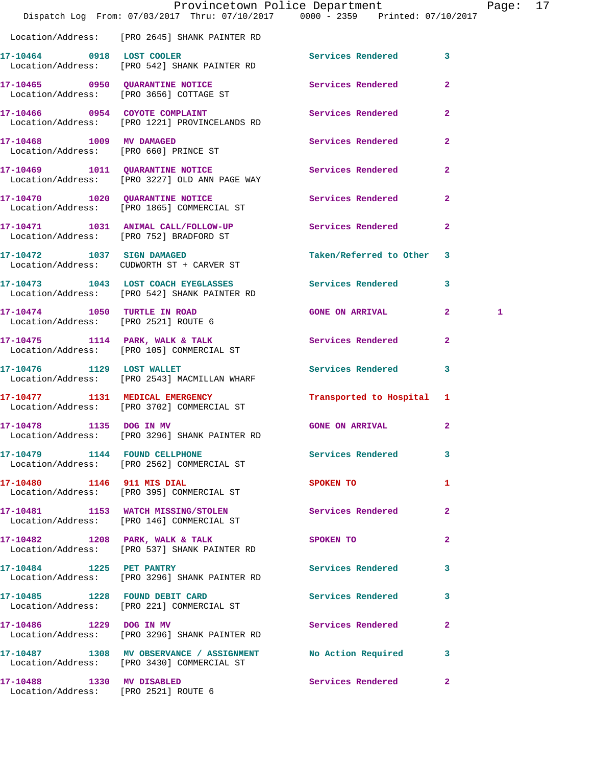|                                                                   | Dispatch Log From: 07/03/2017 Thru: 07/10/2017 0000 - 2359 Printed: 07/10/2017                              | Provincetown Police Department |                | Page: 17 |  |
|-------------------------------------------------------------------|-------------------------------------------------------------------------------------------------------------|--------------------------------|----------------|----------|--|
|                                                                   | Location/Address: [PRO 2645] SHANK PAINTER RD                                                               |                                |                |          |  |
|                                                                   | 17-10464 0918 LOST COOLER<br>Location/Address: [PRO 542] SHANK PAINTER RD                                   | Services Rendered 3            |                |          |  |
|                                                                   | 17-10465 0950 QUARANTINE NOTICE<br>Location/Address: [PRO 3656] COTTAGE ST                                  | Services Rendered              | $\mathbf{2}$   |          |  |
|                                                                   | 17-10466 0954 COYOTE COMPLAINT<br>Location/Address: [PRO 1221] PROVINCELANDS RD                             | Services Rendered 2            |                |          |  |
|                                                                   | 17-10468 1009 MV DAMAGED<br>Location/Address: [PRO 660] PRINCE ST                                           | Services Rendered              | $\mathbf{2}$   |          |  |
|                                                                   | 17-10469 1011 QUARANTINE NOTICE<br>Location/Address: [PRO 3227] OLD ANN PAGE WAY                            | Services Rendered 2            |                |          |  |
|                                                                   | 17-10470 1020 QUARANTINE NOTICE<br>Location/Address: [PRO 1865] COMMERCIAL ST                               | <b>Services Rendered</b>       | $\mathbf{2}$   |          |  |
|                                                                   | 17-10471   1031   ANIMAL CALL/FOLLOW-UP<br>Location/Address: [PRO 752] BRADFORD ST                          | <b>Services Rendered</b>       | $\overline{2}$ |          |  |
|                                                                   | 17-10472 1037 SIGN DAMAGED<br>Location/Address: CUDWORTH ST + CARVER ST                                     | Taken/Referred to Other 3      |                |          |  |
|                                                                   | 17-10473 1043 LOST COACH EYEGLASSES Services Rendered 3<br>Location/Address: [PRO 542] SHANK PAINTER RD     |                                |                |          |  |
|                                                                   | 17-10474 1050 TURTLE IN ROAD<br>Location/Address: [PRO 2521] ROUTE 6                                        | GONE ON ARRIVAL 2              |                | 1        |  |
|                                                                   | 17-10475 1114 PARK, WALK & TALK Services Rendered<br>Location/Address: [PRO 105] COMMERCIAL ST              |                                | $\overline{2}$ |          |  |
| 17-10476 1129 LOST WALLET                                         | Location/Address: [PRO 2543] MACMILLAN WHARF                                                                | Services Rendered 3            |                |          |  |
|                                                                   | 17-10477 1131 MEDICAL EMERGENCY<br>Location/Address: [PRO 3702] COMMERCIAL ST                               | Transported to Hospital 1      |                |          |  |
| 17-10478 1135 DOG IN MV                                           | Location/Address: [PRO 3296] SHANK PAINTER RD                                                               | GONE ON ARRIVAL 2              |                |          |  |
|                                                                   | 17-10479 1144 FOUND CELLPHONE Services Rendered 3<br>Location/Address: [PRO 2562] COMMERCIAL ST             |                                |                |          |  |
|                                                                   | 17-10480 1146 911 MIS DIAL<br>Location/Address: [PRO 395] COMMERCIAL ST                                     | <b>SPOKEN TO</b>               | 1              |          |  |
|                                                                   | 17-10481 1153 WATCH MISSING/STOLEN<br>Location/Address: [PRO 146] COMMERCIAL ST                             | Services Rendered              | $\mathbf{2}$   |          |  |
|                                                                   | 17-10482 1208 PARK, WALK & TALK<br>Location/Address: [PRO 537] SHANK PAINTER RD                             | SPOKEN TO                      | $\mathbf{2}$   |          |  |
|                                                                   | Location/Address: [PRO 3296] SHANK PAINTER RD                                                               | Services Rendered 3            |                |          |  |
|                                                                   | 17-10485 1228 FOUND DEBIT CARD<br>Location/Address: [PRO 221] COMMERCIAL ST                                 | Services Rendered 3            |                |          |  |
|                                                                   | 17-10486 1229 DOG IN MV<br>Location/Address: [PRO 3296] SHANK PAINTER RD                                    | Services Rendered              | $\mathbf{2}$   |          |  |
|                                                                   | 17-10487 1308 MV OBSERVANCE / ASSIGNMENT No Action Required 3<br>Location/Address: [PRO 3430] COMMERCIAL ST |                                |                |          |  |
| 17-10488 1330 MV DISABLED<br>Location/Address: [PRO 2521] ROUTE 6 |                                                                                                             | Services Rendered 2            |                |          |  |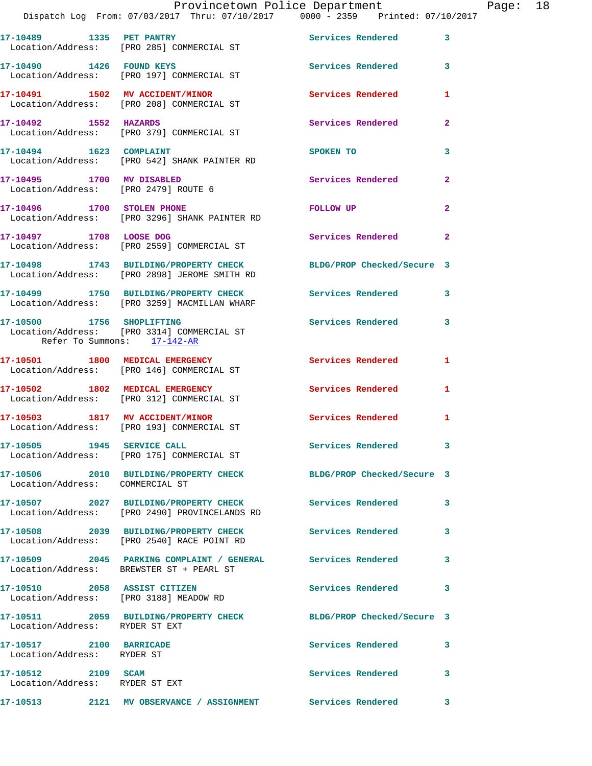|                                                                   | Dispatch Log From: 07/03/2017 Thru: 07/10/2017 0000 - 2359 Printed: 07/10/2017                                   | Provincetown Police Department |                | Page: 18 |  |
|-------------------------------------------------------------------|------------------------------------------------------------------------------------------------------------------|--------------------------------|----------------|----------|--|
|                                                                   |                                                                                                                  |                                |                |          |  |
|                                                                   | 17-10489 1335 PET PANTRY<br>Location/Address: [PRO 285] COMMERCIAL ST                                            | Services Rendered              | $\mathbf{3}$   |          |  |
|                                                                   | 17-10490 1426 FOUND KEYS<br>Location/Address: [PRO 197] COMMERCIAL ST                                            | Services Rendered 3            |                |          |  |
|                                                                   | 17-10491 1502 MV ACCIDENT/MINOR<br>Location/Address: [PRO 208] COMMERCIAL ST                                     | <b>Services Rendered</b>       | 1              |          |  |
| 17-10492 1552 HAZARDS                                             | Location/Address: [PRO 379] COMMERCIAL ST                                                                        | Services Rendered              | $\mathbf{2}$   |          |  |
|                                                                   | 17-10494 1623 COMPLAINT<br>Location/Address: [PRO 542] SHANK PAINTER RD                                          | SPOKEN TO                      | 3              |          |  |
| 17-10495 1700 MV DISABLED<br>Location/Address: [PRO 2479] ROUTE 6 |                                                                                                                  | Services Rendered              | $\mathbf{2}$   |          |  |
|                                                                   | 17-10496 1700 STOLEN PHONE<br>Location/Address: [PRO 3296] SHANK PAINTER RD                                      | FOLLOW UP                      | $\mathbf{2}$   |          |  |
|                                                                   | 17-10497 1708 LOOSE DOG<br>Location/Address: [PRO 2559] COMMERCIAL ST                                            | Services Rendered              | $\overline{2}$ |          |  |
|                                                                   | 17-10498 1743 BUILDING/PROPERTY CHECK BLDG/PROP Checked/Secure 3<br>Location/Address: [PRO 2898] JEROME SMITH RD |                                |                |          |  |
|                                                                   | 17-10499 1750 BUILDING/PROPERTY CHECK Services Rendered<br>Location/Address: [PRO 3259] MACMILLAN WHARF          |                                | 3              |          |  |
| 17-10500 1756 SHOPLIFTING<br>Refer To Summons: 17-142-AR          | Location/Address: [PRO 3314] COMMERCIAL ST                                                                       | Services Rendered 3            |                |          |  |
|                                                                   | 17-10501 1800 MEDICAL EMERGENCY<br>Location/Address: [PRO 146] COMMERCIAL ST                                     | Services Rendered 1            |                |          |  |
|                                                                   | 17-10502 1802 MEDICAL EMERGENCY<br>Location/Address: [PRO 312] COMMERCIAL ST                                     | <b>Services Rendered</b>       | $\mathbf{1}$   |          |  |
|                                                                   | 17-10503 1817 MV ACCIDENT/MINOR<br>Location/Address: [PRO 193] COMMERCIAL ST                                     | Services Rendered              | 1              |          |  |
|                                                                   | 17-10505 1945 SERVICE CALL<br>Location/Address: [PRO 175] COMMERCIAL ST                                          | Services Rendered 3            |                |          |  |
| Location/Address: COMMERCIAL ST                                   | 17-10506 2010 BUILDING/PROPERTY CHECK BLDG/PROP Checked/Secure 3                                                 |                                |                |          |  |
|                                                                   | 17-10507 2027 BUILDING/PROPERTY CHECK Services Rendered 3<br>Location/Address: [PRO 2490] PROVINCELANDS RD       |                                |                |          |  |
|                                                                   | 17-10508 2039 BUILDING/PROPERTY CHECK<br>Location/Address: [PRO 2540] RACE POINT RD                              | <b>Services Rendered</b>       | 3              |          |  |
|                                                                   | 17-10509 2045 PARKING COMPLAINT / GENERAL Services Rendered<br>Location/Address: BREWSTER ST + PEARL ST          |                                | 3              |          |  |
|                                                                   | 17-10510 2058 ASSIST CITIZEN<br>Location/Address: [PRO 3188] MEADOW RD                                           | Services Rendered              | 3              |          |  |
| Location/Address: RYDER ST EXT                                    | 17-10511 2059 BUILDING/PROPERTY CHECK BLDG/PROP Checked/Secure 3                                                 |                                |                |          |  |
| 17-10517 2100 BARRICADE<br>Location/Address: RYDER ST             |                                                                                                                  | Services Rendered              | $\mathbf{3}$   |          |  |
| 17-10512 2109 SCAM<br>Location/Address: RYDER ST EXT              |                                                                                                                  | Services Rendered              | 3              |          |  |
|                                                                   |                                                                                                                  |                                | $\mathbf{3}$   |          |  |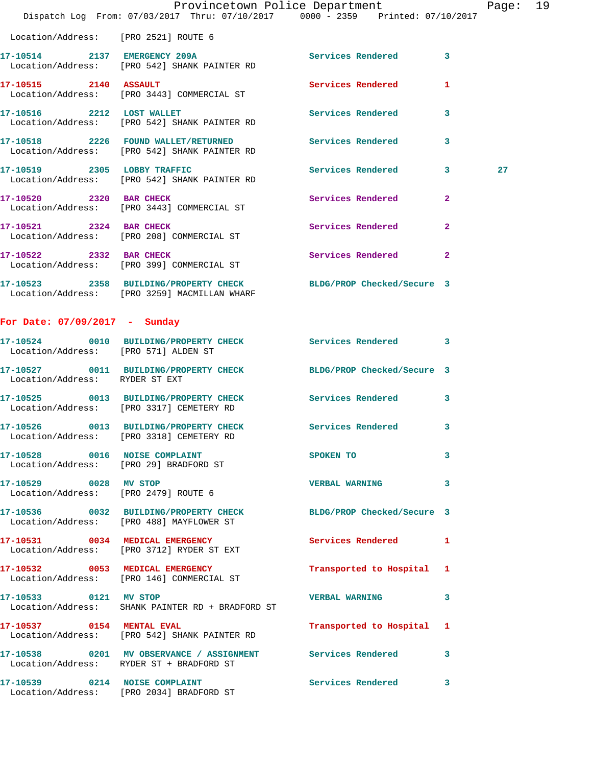|                                      |                                                                                                                  | Provincetown Police Department |                         | Page: 19 |  |
|--------------------------------------|------------------------------------------------------------------------------------------------------------------|--------------------------------|-------------------------|----------|--|
|                                      | Dispatch Log From: 07/03/2017 Thru: 07/10/2017 0000 - 2359 Printed: 07/10/2017                                   |                                |                         |          |  |
| Location/Address: [PRO 2521] ROUTE 6 |                                                                                                                  |                                |                         |          |  |
|                                      | 17-10514 2137 EMERGENCY 209A<br>Location/Address: [PRO 542] SHANK PAINTER RD                                     | Services Rendered 3            |                         |          |  |
| 17-10515 2140 ASSAULT                | Location/Address: [PRO 3443] COMMERCIAL ST                                                                       | Services Rendered              | $\mathbf{1}$            |          |  |
| 17-10516 2212 LOST WALLET            | Location/Address: [PRO 542] SHANK PAINTER RD                                                                     | <b>Services Rendered</b>       | $\overline{\mathbf{3}}$ |          |  |
|                                      | 17-10518 2226 FOUND WALLET/RETURNED<br>Location/Address: [PRO 542] SHANK PAINTER RD                              | <b>Services Rendered</b>       | $\overline{\mathbf{3}}$ |          |  |
|                                      | 17-10519 2305 LOBBY TRAFFIC<br>Location/Address: [PRO 542] SHANK PAINTER RD                                      | Services Rendered 3            |                         | 27       |  |
|                                      | 17-10520 2320 BAR CHECK<br>Location/Address: [PRO 3443] COMMERCIAL ST                                            | Services Rendered              | $\mathbf{2}$            |          |  |
| 17-10521 2324 BAR CHECK              | Location/Address: [PRO 208] COMMERCIAL ST                                                                        | Services Rendered              | $\mathbf{2}$            |          |  |
| 17-10522 2332 BAR CHECK              | Location/Address: [PRO 399] COMMERCIAL ST                                                                        | <b>Services Rendered</b>       | $\overline{2}$          |          |  |
|                                      | 17-10523 2358 BUILDING/PROPERTY CHECK BLDG/PROP Checked/Secure 3<br>Location/Address: [PRO 3259] MACMILLAN WHARF |                                |                         |          |  |
| For Date: $07/09/2017 -$ Sunday      |                                                                                                                  |                                |                         |          |  |
|                                      | 17-10524 0010 RIITI.DING/DROPPTY CHRCK                                                                           | <b>Exercise Bendered</b>       |                         |          |  |

| Location/Address: [PRO 571] ALDEN ST                                    |                                                                                                        | Services Rendered          | $\overline{\mathbf{3}}$ |
|-------------------------------------------------------------------------|--------------------------------------------------------------------------------------------------------|----------------------------|-------------------------|
| Location/Address: RYDER ST EXT                                          | 17-10527 0011 BUILDING/PROPERTY CHECK                                                                  | BLDG/PROP Checked/Secure 3 |                         |
|                                                                         | 17-10525 0013 BUILDING/PROPERTY CHECK<br>Location/Address: [PRO 3317] CEMETERY RD                      | <b>Services Rendered</b>   | $\mathbf{3}$            |
|                                                                         | 17-10526 0013 BUILDING/PROPERTY CHECK<br>Location/Address: [PRO 3318] CEMETERY RD                      | <b>Services Rendered</b>   | 3                       |
| 17-10528 0016 NOISE COMPLAINT<br>Location/Address: [PRO 29] BRADFORD ST |                                                                                                        | SPOKEN TO                  | 3                       |
| 17-10529 0028 MV STOP<br>Location/Address: [PRO 2479] ROUTE 6           |                                                                                                        | <b>VERBAL WARNING</b>      | $\mathbf{3}$            |
|                                                                         | 17-10536 0032 BUILDING/PROPERTY CHECK<br>Location/Address: [PRO 488] MAYFLOWER ST                      | BLDG/PROP Checked/Secure 3 |                         |
| Location/Address:                                                       | 17-10531 0034 MEDICAL EMERGENCY<br>[PRO 3712] RYDER ST EXT                                             | Services Rendered 1        |                         |
|                                                                         | 17-10532 0053 MEDICAL EMERGENCY<br>Location/Address: [PRO 146] COMMERCIAL ST                           | Transported to Hospital 1  |                         |
| 17-10533 0121 MV STOP                                                   | Location/Address: SHANK PAINTER RD + BRADFORD ST                                                       | <b>VERBAL WARNING</b>      | $\mathbf{3}$            |
| 17-10537 0154 MENTAL EVAL                                               | Location/Address: [PRO 542] SHANK PAINTER RD                                                           | Transported to Hospital 1  |                         |
|                                                                         | 17-10538 6201 MV OBSERVANCE / ASSIGNMENT Services Rendered<br>Location/Address: RYDER ST + BRADFORD ST |                            | $\mathbf{3}$            |
|                                                                         | 17-10539 0214 NOISE COMPLAINT<br>Location/Address: [PRO 2034] BRADFORD ST                              | Services Rendered          | $\mathbf{3}$            |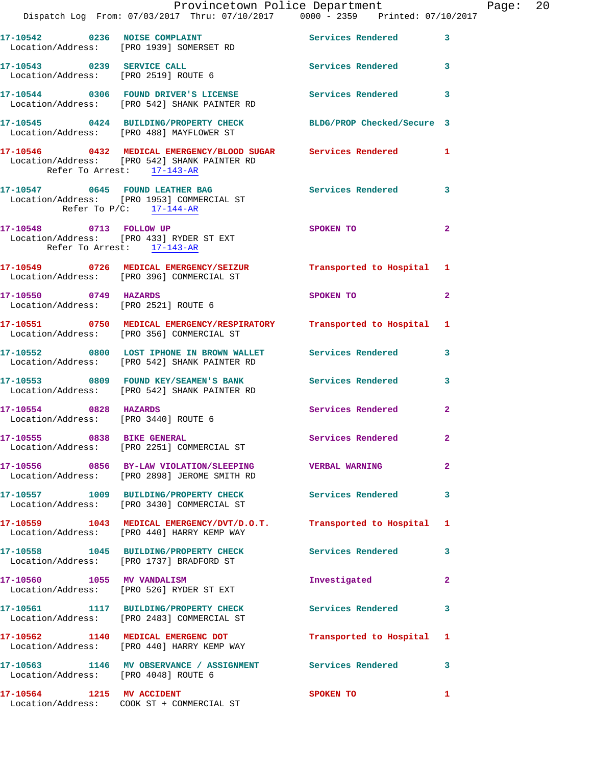|                                                               | Dispatch Log From: 07/03/2017 Thru: 07/10/2017 0000 - 2359 Printed: 07/10/2017                                                   | Provincetown Police Department The Rage: 20 |                |  |
|---------------------------------------------------------------|----------------------------------------------------------------------------------------------------------------------------------|---------------------------------------------|----------------|--|
|                                                               | 17-10542 0236 NOISE COMPLAINT Services Rendered 3<br>Location/Address: [PRO 1939] SOMERSET RD                                    |                                             |                |  |
|                                                               | 17-10543 0239 SERVICE CALL<br>Location/Address: [PRO 2519] ROUTE 6                                                               | Services Rendered 3                         |                |  |
|                                                               | 17-10544 0306 FOUND DRIVER'S LICENSE Services Rendered 3<br>Location/Address: [PRO 542] SHANK PAINTER RD                         |                                             |                |  |
|                                                               | 17-10545 0424 BUILDING/PROPERTY CHECK BLDG/PROP Checked/Secure 3<br>Location/Address: [PRO 488] MAYFLOWER ST                     |                                             |                |  |
| Refer To Arrest: 17-143-AR                                    | 17-10546     0432   MEDICAL EMERGENCY/BLOOD SUGAR     Services Rendered      1<br>Location/Address:   [PRO 542] SHANK PAINTER RD |                                             |                |  |
| Refer To $P/C$ : 17-144-AR                                    | 17-10547 0645 FOUND LEATHER BAG Services Rendered<br>Location/Address: [PRO 1953] COMMERCIAL ST                                  |                                             | $\mathbf{3}$   |  |
| Refer To Arrest: 17-143-AR                                    | 17-10548 0713 FOLLOW UP<br>Location/Address: [PRO 433] RYDER ST EXT                                                              | SPOKEN TO                                   | $\mathbf{2}$   |  |
|                                                               | 17-10549 0726 MEDICAL EMERGENCY/SEIZUR Transported to Hospital 1<br>Location/Address: [PRO 396] COMMERCIAL ST                    |                                             |                |  |
| 17-10550 0749 HAZARDS                                         | Location/Address: [PRO 2521] ROUTE 6                                                                                             | SPOKEN TO                                   | $\overline{2}$ |  |
|                                                               | 17-10551 0750 MEDICAL EMERGENCY/RESPIRATORY Transported to Hospital 1<br>Location/Address: [PRO 356] COMMERCIAL ST               |                                             |                |  |
|                                                               | 17-10552 0800 LOST IPHONE IN BROWN WALLET Services Rendered<br>Location/Address: [PRO 542] SHANK PAINTER RD                      |                                             | 3              |  |
|                                                               | 17-10553 0809 FOUND KEY/SEAMEN'S BANK Services Rendered 3<br>Location/Address: [PRO 542] SHANK PAINTER RD                        |                                             |                |  |
| 17-10554 0828 HAZARDS<br>Location/Address: [PRO 3440] ROUTE 6 |                                                                                                                                  | Services Rendered                           | $\mathbf{2}$   |  |
| 17-10555 0838 BIKE GENERAL                                    | Location/Address: [PRO 2251] COMMERCIAL ST                                                                                       | Services Rendered                           |                |  |
|                                                               | 17-10556 0856 BY-LAW VIOLATION/SLEEPING VERBAL WARNING<br>Location/Address: [PRO 2898] JEROME SMITH RD                           |                                             | $\mathbf{2}$   |  |
|                                                               | 17-10557 1009 BUILDING/PROPERTY CHECK Services Rendered<br>Location/Address: [PRO 3430] COMMERCIAL ST                            |                                             | 3              |  |
|                                                               | 17-10559 1043 MEDICAL EMERGENCY/DVT/D.O.T. Transported to Hospital 1<br>Location/Address: [PRO 440] HARRY KEMP WAY               |                                             |                |  |
|                                                               | 17-10558 1045 BUILDING/PROPERTY CHECK<br>Location/Address: [PRO 1737] BRADFORD ST                                                | <b>Services Rendered</b>                    | 3              |  |
|                                                               | 17-10560 1055 MV VANDALISM<br>Location/Address: [PRO 526] RYDER ST EXT                                                           | Investigated                                | 2              |  |
|                                                               | 17-10561 1117 BUILDING/PROPERTY CHECK Services Rendered<br>Location/Address: [PRO 2483] COMMERCIAL ST                            |                                             | 3              |  |
|                                                               | 17-10562 1140 MEDICAL EMERGENC DOT<br>Location/Address: [PRO 440] HARRY KEMP WAY                                                 | Transported to Hospital 1                   |                |  |
| Location/Address: [PRO 4048] ROUTE 6                          | 17-10563 1146 MV OBSERVANCE / ASSIGNMENT Services Rendered 3                                                                     |                                             |                |  |
|                                                               | 17-10564 1215 MV ACCIDENT                                                                                                        | SPOKEN TO                                   | 1              |  |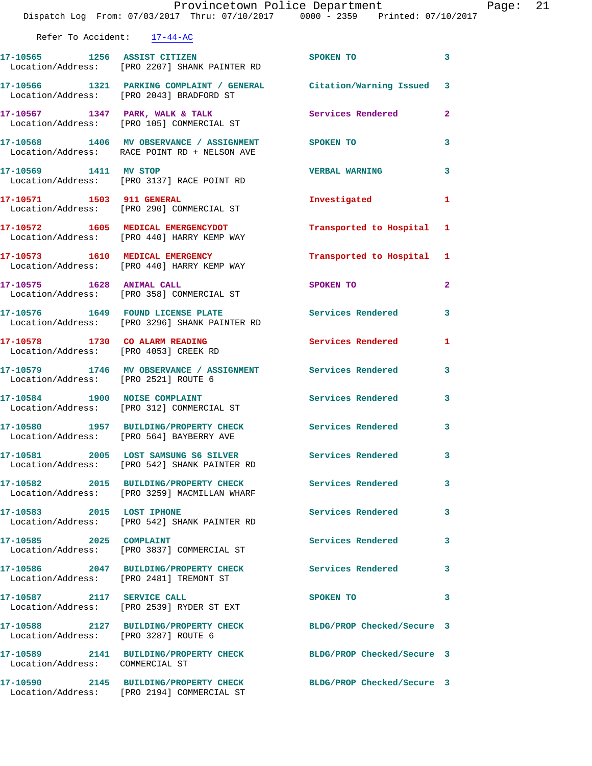|                                      | Provincetown Police Department<br>Dispatch Log From: 07/03/2017 Thru: 07/10/2017 0000 - 2359 Printed: 07/10/2017 |                           | Page: 21     |
|--------------------------------------|------------------------------------------------------------------------------------------------------------------|---------------------------|--------------|
| Refer To Accident: 17-44-AC          |                                                                                                                  |                           |              |
|                                      | 17-10565 1256 ASSIST CITIZEN SPOKEN TO<br>Location/Address: [PRO 2207] SHANK PAINTER RD                          |                           | 3            |
|                                      | 17-10566 1321 PARKING COMPLAINT / GENERAL Citation/Warning Issued 3<br>Location/Address: [PRO 2043] BRADFORD ST  |                           |              |
|                                      | 17-10567 1347 PARK, WALK & TALK Services Rendered<br>Location/Address: [PRO 105] COMMERCIAL ST                   |                           | $\mathbf{2}$ |
|                                      | 17-10568 1406 MV OBSERVANCE / ASSIGNMENT SPOKEN TO<br>Location/Address: RACE POINT RD + NELSON AVE               |                           | 3            |
|                                      | 17-10569 1411 MV STOP<br>Location/Address: [PRO 3137] RACE POINT RD                                              | <b>VERBAL WARNING</b>     | 3            |
|                                      | 17-10571 1503 911 GENERAL<br>Location/Address: [PRO 290] COMMERCIAL ST                                           | Investigated 1            |              |
|                                      | 17-10572 1605 MEDICAL EMERGENCYDOT<br>Location/Address: [PRO 440] HARRY KEMP WAY                                 | Transported to Hospital 1 |              |
|                                      | 17-10573 1610 MEDICAL EMERGENCY<br>Location/Address: [PRO 440] HARRY KEMP WAY                                    | Transported to Hospital 1 |              |
|                                      | 17-10575 1628 ANIMAL CALL<br>Location/Address: [PRO 358] COMMERCIAL ST                                           | SPOKEN TO                 | $\mathbf{2}$ |
|                                      | 17-10576 1649 FOUND LICENSE PLATE THE Services Rendered<br>Location/Address: [PRO 3296] SHANK PAINTER RD         |                           | 3            |
|                                      | 17-10578 1730 CO ALARM READING<br>Location/Address: [PRO 4053] CREEK RD                                          | Services Rendered 1       |              |
| Location/Address: [PRO 2521] ROUTE 6 | 17-10579 1746 MV OBSERVANCE / ASSIGNMENT Services Rendered                                                       |                           | 3            |
|                                      | 17-10584 1900 NOISE COMPLAINT<br>Location/Address: [PRO 312] COMMERCIAL ST                                       | Services Rendered 3       |              |
|                                      | 17-10580 1957 BUILDING/PROPERTY CHECK Services Rendered<br>Location/Address: [PRO 564] BAYBERRY AVE              |                           |              |
|                                      | 17-10581 2005 LOST SAMSUNG S6 SILVER Services Rendered<br>Location/Address: [PRO 542] SHANK PAINTER RD           |                           | 3            |
|                                      | 17-10582 2015 BUILDING/PROPERTY CHECK<br>Location/Address: [PRO 3259] MACMILLAN WHARF                            | Services Rendered         | 3            |
| 17-10583 2015 LOST IPHONE            | Location/Address: [PRO 542] SHANK PAINTER RD                                                                     | <b>Services Rendered</b>  | 3            |
| 17-10585 2025 COMPLAINT              | Location/Address: [PRO 3837] COMMERCIAL ST                                                                       | Services Rendered         | 3            |
|                                      | 17-10586 2047 BUILDING/PROPERTY CHECK Services Rendered<br>Location/Address: [PRO 2481] TREMONT ST               |                           | 3            |
| 17-10587 2117 SERVICE CALL           | Location/Address: [PRO 2539] RYDER ST EXT                                                                        | SPOKEN TO                 | 3            |
| Location/Address: [PRO 3287] ROUTE 6 | 17-10588 2127 BUILDING/PROPERTY CHECK BLDG/PROP Checked/Secure 3                                                 |                           |              |
| Location/Address: COMMERCIAL ST      | 17-10589 2141 BUILDING/PROPERTY CHECK BLDG/PROP Checked/Secure 3                                                 |                           |              |
|                                      | 17-10590 2145 BUILDING/PROPERTY CHECK BLDG/PROP Checked/Secure 3                                                 |                           |              |

Location/Address: [PRO 2194] COMMERCIAL ST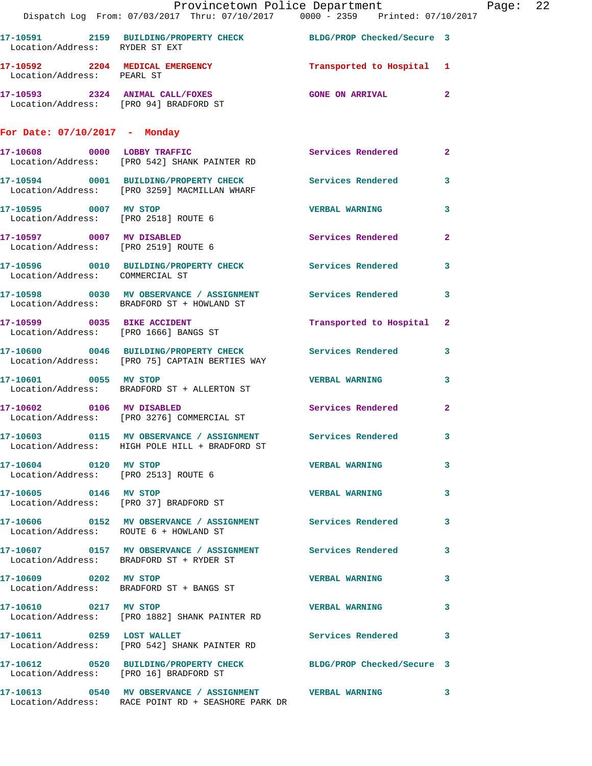|                                        | Provincetown Police Department The Rage: 22                                                                     |                           |              |  |
|----------------------------------------|-----------------------------------------------------------------------------------------------------------------|---------------------------|--------------|--|
|                                        | Dispatch Log From: 07/03/2017 Thru: 07/10/2017 0000 - 2359 Printed: 07/10/2017                                  |                           |              |  |
| Location/Address: RYDER ST EXT         | 17-10591 2159 BUILDING/PROPERTY CHECK BLDG/PROP Checked/Secure 3                                                |                           |              |  |
| Location/Address: PEARL ST             | 17-10592 2204 MEDICAL EMERGENCY Transported to Hospital 1                                                       |                           |              |  |
|                                        | 17-10593 2324 ANIMAL CALL/FOXES<br>Location/Address: [PRO 94] BRADFORD ST                                       | GONE ON ARRIVAL 2         |              |  |
| For Date: 07/10/2017 - Monday          |                                                                                                                 |                           |              |  |
|                                        | 17-10608 0000 LOBBY TRAFFIC<br>Location/Address: [PRO 542] SHANK PAINTER RD                                     | Services Rendered 2       |              |  |
|                                        | 17-10594 0001 BUILDING/PROPERTY CHECK Services Rendered 3<br>Location/Address: [PRO 3259] MACMILLAN WHARF       |                           |              |  |
| 17-10595 0007 MV STOP                  | Location/Address: [PRO 2518] ROUTE 6                                                                            | VERBAL WARNING 3          |              |  |
| Location/Address: [PRO 2519] ROUTE 6   | 17-10597 0007 MV DISABLED                                                                                       | Services Rendered 2       |              |  |
| Location/Address: COMMERCIAL ST        | 17-10596 0010 BUILDING/PROPERTY CHECK Services Rendered 3                                                       |                           |              |  |
|                                        | 17-10598 0030 MV OBSERVANCE / ASSIGNMENT Services Rendered 3<br>Location/Address: BRADFORD ST + HOWLAND ST      |                           |              |  |
|                                        | 17-10599 0035 BIKE ACCIDENT<br>Location/Address: [PRO 1666] BANGS ST                                            | Transported to Hospital 2 |              |  |
|                                        | 17-10600 0046 BUILDING/PROPERTY CHECK Services Rendered 3<br>Location/Address: [PRO 75] CAPTAIN BERTIES WAY     |                           |              |  |
| 17-10601 0055 MV STOP                  | Location/Address: BRADFORD ST + ALLERTON ST                                                                     | VERBAL WARNING 3          |              |  |
|                                        | 17-10602 0106 MV DISABLED<br>Location/Address: [PRO 3276] COMMERCIAL ST                                         | Services Rendered 2       |              |  |
|                                        | 17-10603 0115 MV OBSERVANCE / ASSIGNMENT Services Rendered 3<br>Location/Address: HIGH POLE HILL + BRADFORD ST  |                           |              |  |
| 17-10604 0120 MV STOP                  | Location/Address: [PRO 2513] ROUTE 6                                                                            | <b>VERBAL WARNING</b> 3   |              |  |
| 17-10605 0146 MV STOP                  | Location/Address: [PRO 37] BRADFORD ST                                                                          | <b>VERBAL WARNING</b>     | $\mathbf{3}$ |  |
| Location/Address: ROUTE 6 + HOWLAND ST | 17-10606 0152 MV OBSERVANCE / ASSIGNMENT Services Rendered 3                                                    |                           |              |  |
|                                        | 17-10607 0157 MV OBSERVANCE / ASSIGNMENT Services Rendered 3<br>Location/Address: BRADFORD ST + RYDER ST        |                           |              |  |
|                                        | 17-10609 0202 MV STOP<br>Location/Address: BRADFORD ST + BANGS ST                                               | <b>VERBAL WARNING 3</b>   |              |  |
| 17-10610 0217 MV STOP                  | Location/Address: [PRO 1882] SHANK PAINTER RD                                                                   | <b>VERBAL WARNING 3</b>   |              |  |
|                                        | 17-10611 0259 LOST WALLET Services Rendered 3<br>Location/Address: [PRO 542] SHANK PAINTER RD                   |                           |              |  |
|                                        | 17-10612 0520 BUILDING/PROPERTY CHECK BLDG/PROP Checked/Secure 3<br>Location/Address: [PRO 16] BRADFORD ST      |                           |              |  |
|                                        | 17-10613 0540 MV OBSERVANCE / ASSIGNMENT VERBAL WARNING 3<br>Location/Address: RACE POINT RD + SEASHORE PARK DR |                           |              |  |
|                                        |                                                                                                                 |                           |              |  |